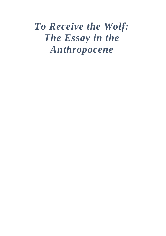# *To Receive the Wolf: The Essay in the Anthropocene*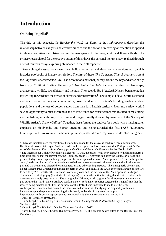# **Introduction**

### **On Being Impelled<sup>1</sup>**

 $\overline{a}$ 

The title of this exegesis, *To Receive the Wolf: the Essay in the Anthropocene*, describes the relationship between exegesis and creative practice and the notion of receiving or reception as applied to abundance, attention, distraction and human agency in the geographic and literary fields. The primary research tool for the creative output of this PhD is the personal literary essay, realised through a set of fourteen essays exploring abundance in the Anthropocene.<sup>2</sup>

 Researching the essay has allowed me to build upon and extend ideas from my previous work, which includes two books of literary non-fiction. The first of these, *The Gathering Tide: A Journey Around the Edgelands of Morecambe Bay*, is an account of a personal journey around the bay and arose partly from my MLitt at Stirling University.<sup>3</sup> *The Gathering Tide* included writing on landscape, archaeology, wildlife, social history and memoir. The second, *The Blackbird Diaries*, began to nudge my writing forward into the arenas of climate and conservation.<sup>4</sup> For example, I detail Storm Desmond and its effects on farming and communities, cover the demise of Britain's breeding lowland curlew populations and the loss of golden eagles from their last English territory. From my curlew work I saw an opportunity to raise awareness and to raise funds for conservation; this resulted in me editing and publishing an anthology of writing and images (kindly donated by members of the Society of Wildlife Artists), *Curlew Calling*. <sup>5</sup> Together, these formed the catalyst for a book with a much greater emphasis on biodiversity and human attention, and being awarded the first FASS 'Literature, Landscape and Environment' scholarship subsequently allowed my work to develop far greater

<sup>2</sup> The International Union of Geological Sciences (IUGS), the professional body charged with defining Earth's time scale asserts that the current era, the Holocene, began 11,700 years ago after the last major ice age and persists today. Some experts though, argue for the more updated term of 'Anthropocene' – 'from anthropo, for "man," and cene, for "new" – because human-kind has caused mass extinctions of plant and animal species, polluted the oceans and altered the atmosphere, among other lasting impacts.' The atmospheric chemist and Nobel laureate Paul Crutzen popularized the term in 2000, and in 2013 the IUGS convened a group of scholars to decide by 2016 whether the Holocene is officially over and the new era of the Anthropocene has begun. The science of stratigraphy (the study of rock layers) criticises the notion insisting that definitive evidence for a new epoch simply does not exist. The stratigrapher Whitney Autin suggests 'Anthropocene' is more about pop culture than hard science. Andrew Revkin, a New York Times reporter suggested it is significant that the issue is being debated at all. For the purposes of this PhD, it was important to me to use the term Anthropocene because it has entered the mainstream discourse as identifying the culpability of human behaviours upon the planet – something that is deeply embedded in my creative output. [https://www.smithsonianmag.com/science-nature/what-is-the-anthropocene-and-are-we-in-it-](https://www.smithsonianmag.com/science-nature/what-is-the-anthropocene-and-are-we-in-it-164801414/)

[164801414/a](https://www.smithsonianmag.com/science-nature/what-is-the-anthropocene-and-are-we-in-it-164801414/)ccessed 19.01.2021.

<sup>&</sup>lt;sup>1</sup> I have deliberately used the traditional historic title mode for the essay, as used by Seneca, Montaigne, Hazlitt et al. to orientate myself and the reader in this exegesis, and as demonstrated in Phillip Lopate's *The Art of the Personal Essay: An Anthology from the Classical Era to the Present* (Anchor Books, 1995).

<sup>3</sup> Karen Lloyd, *The Gathering Tide: A Journey Around the Edgelands of Morecambe Bay* (Glasgow: Saraband, 2015).

<sup>4</sup> Karen Lloyd, *The Blackbird Diaries* (Glasgow: Saraband, 2017).

<sup>5</sup> Karen Lloyd ed., *Curlew Calling* (Numenius Press, 2017). This anthology was gifted to the British Trust for Ornithology.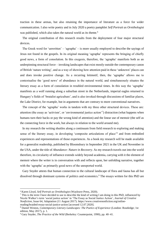traction in these arenas, but also retaining the importance of literature as a force for wider communication. I also write poetry and in July 2020 a poetry pamphlet *Self Portrait as Ornithologist* was published, which also takes the natural world as its theme.<sup>6</sup>

 The original contribution of this research results from the deployment of four major structural devices.

 The Greek word for 'unwritten' – 'agrapha' – is more usually employed to describe the sayings of Jesus not found in the gospels. In its original meaning 'agrapha' represents the bringing of chiefly good news, a form of consolation. In this exegesis, therefore, the 'agrapha' manifests both as an underpinning structural force – invoking landscapes that exist mostly outside the contemporary canon of British 'nature writing', and as a way of showing how attention paid in these 'unknown' places can and does invoke positive change. As a recurring leitmotif, then, the 'agrapha' allows me to contextualise the 'good news' of abundance in the natural world, and simultaneously situates the literary essay as a form of consolation in troubled environmental times. In this way the 'agrapha' manifests as a wolf running along a suburban street in the Netherlands, imperial eagles returned to Hungary's fields of 'brutalist agriculture', and is also invoked through discussions of familiar places, the Lake District, for example, but in arguments that are contrary to more conventional narratives.

 The concept of the 'agrapha' works in tandem with my three other structural devices. These are: attention (the essay as 'activism', or 'environmental justice action'<sup>7</sup> ) distraction (what happens when humans turn their backs or pay the wrong kind of attention) and the linear use of memoir (the self as the connecting force in the work, but always in relation to the world around me).

 In my research the writing shuttles along a continuum from field research to exploring and making sense of the literary essay, in developing 'composite articulations of place'<sup>8</sup> and from embodied experiences and representations of those experiences. As a book my research will be made available for a generalist readership, published by Bloomsbury in September 2021 in the UK and November in the USA, under the title of *Abundance: Nature in Recovery.* As my research travels out into the world therefore, its circularity of influence extends widely beyond academia, carrying with it the element of memoir where the writer is in conversation with and reflects upon, her unfolding narrative, together with the 'agrapha' as primarily good news of the unreported world.

 Gary Snyder attests that human connection to the cultural landscape of flora and fauna has all but dissolved through dominant systems of politics and economics.<sup>9</sup> The essays written for this PhD are

<sup>6</sup> Karen Lloyd, *Self Portrait as Ornithologist* (Wayleave Press, 2020).

<sup>&</sup>lt;sup>7</sup> This is the term I have decided to use to describe the kind of writing I am doing in this PhD, influenced by Nicole Walker's term 'social justice action' in 'The Essay as Social Justice Action', *Journal of Creative Nonfiction*, Issue 64, Adaptation (11 August 2017). [https://www.creativenonfiction.org/online](https://www.creativenonfiction.org/online-reading/braided-essay-social-justice-action)[reading/braided-essay-social-justice-action](https://www.creativenonfiction.org/online-reading/braided-essay-social-justice-action) [accessed 12.07.2020].

<sup>8</sup> Daniel Weston, *Contemporary Literary Landscapes: The Poetics of Experience* (London: Routledge; 1st edition, May 2017), p. 1.

<sup>9</sup> Gary Snyder, *The Practice of the Wild* (Berkeley: Counterpoint, 1990), pp. 40–41.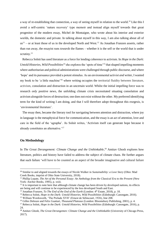a way of re-establishing that connection, a way of seeing myself in relation to the world.<sup>10</sup> Like this I avoid a self-centric 'nature recovery' type memoir and instead align myself towards that great progenitor of the modern essay, Michel de Montaigne, who wrote about his interior and exterior worlds, the domestic and private. In talking about myself in this way, I am also talking about all of  $us<sup>11</sup>$  – or at least those of us in the developed North and West.<sup>12</sup> As Jonathan Franzen asserts, rather than run away, the essayist runs *towards* the flames – whether it is the self or the world that is under scrutiny.<sup>13</sup>

 Rebecca Solnit has used literature as a force for lending coherence to activism. In *Hope in the Dark: Untold Histories, Wild Possibilities*<sup>14</sup> she explores the 'spots of time'<sup>15</sup> that shaped impelling moments where authoritarian and political administrations were challenged through public discourse, and where 'hope' and its pursuance provided a potent stimulus. As an environmental activist *and* writer, I wanted my book to be 'a little machine'<sup>16</sup> where writing occupies the territorial fluidity between literature, activism, consolation and distraction in an uncertain world. Whilst the initial impelling force was to research *only* positive news, the unfolding climate crisis necessitated situating consolation and activism alongside forces of destruction; one does not exist without the other. My preferred identifying term for the kind of writing I am doing, and that I will therefore adopt throughout this exegesis, is 'environmental literature'.

 The essay then, became the literary tool for navigating between attention and distraction, where joy in language is the metaphysical force for communication, and the essay is an act of attention, love and care in the field of the 'agrapha'. As Solnit writes, 'Activism itself can generate hope because it already constitutes an alternative.'<sup>17</sup>

#### **On Methodology**

 $\overline{a}$ 

In *The Great Derangement: Climate Change and the Unthinkable*,<sup>18</sup> Amitav Ghosh explores how literature, politics and history have failed to address the subject of climate chaos. He further argues that such failure 'will have to be counted as an aspect of the broader imaginative and cultural failure

<sup>10</sup> Similar to and aligned towards the essays of Nicole Walker in *Sustainability: a Love Story* (Ohio: Mad Creek Books, imprint of Ohio State University, 2018).

<sup>11</sup> Phillip Lopate, *The Art of the Personal Essay: An Anthology from the Classical Era to the Present* (New York: Anchor Books, 1995), p. xxiii.

<sup>&</sup>lt;sup>12</sup> It is important to note here that although climate change has been driven by developed nations, its effects are being and will continue to be experienced by the less developed South and East.

<sup>&</sup>lt;sup>13</sup> Jonathan Franzen, *To The End of the End of the Earth* (London: 4<sup>th</sup> Estate, 2018), p. 18.

<sup>&</sup>lt;sup>14</sup> Rebecca Solnit, *Hope in the Dark: Untold Histories, Wild Possibilities* (Edinburgh: Canongate, 2016).

<sup>&</sup>lt;sup>15</sup> William Wordsworth, 'The Prelude XVII' (Ernest de Sélincourt, 1926), line 208.

<sup>16</sup> Gilles Deleuze and Felix Guattari, *Thousand Plateaus* (London: Bloomsbury Publishing, 2001), p. 4.

<sup>17</sup> Rebecca Solnit, *Hope in the Dark: Untold Histories, Wild Possibilities* (Edinburgh: Canongate, 2016), p. 24.

<sup>18</sup> Amitav Ghosh, *The Great Derangemen: Climate Change and the Unthinkable* (University of Chicago Press, 2017).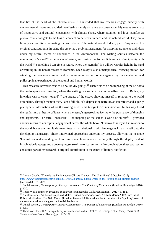that lies at the heart of the climate crisis.'<sup>19</sup> I intended that my research engage directly with environmental issues and avoided manifesting merely as nature as consolation. My essays are an act of imaginative and cultural engagement with climate chaos, where attention and love manifest as pivotal counterweights to the loss of connection between humans and the natural world. They are a literary method for illuminating the sacredness of the natural world. Indeed, part of my research's original contribution is in using the essay as a probing instrument for mapping arguments and ideas under my central theme of abundance in the Anthropocene. The writing shuttles between the numinous, or 'sacred'<sup>20</sup> experiences of nature, and destructive forces. It is an 'act of reciprocity with the world',<sup>21</sup> something I can give in return, where the 'agrapha' is a willow warbler held in the hand or walking in the boreal forests of Romania. Each essay is also a metaphorical 'viewing station' for situating the tenacious commitment of conservationists and others against my own embodied and philosophical experiences of the natural and human worlds.

 This research, however, was to be no 'boldly going'.*<sup>22</sup>* There was to be no imposing of the self onto the landscapes under question, where the writing is a vehicle for a more self-centric 'I'. Rather, my intention was to write 'toward' *<sup>23</sup>* the targets of the essays showing myself in relation to the world around me. Through memoir then, I am a fallible, self-deprecating narrator, an interpreter and a geeky purveyor of information where the writing itself is the *bridge for communication.* In this way I lead the reader into a theatre of ideas where the essay's generosities facilitate the pursuance of thoughts and arguments. The term 'Innenwelt' – the mapping of the self to a world of objects<sup>24</sup> – provided another means of conceptual engagement across the whole book. 'Innenwelt' is myself in relation to the world, but as a writer, it also manifests in my relationship with language as I map myself onto the developing manuscript. These intertwined approaches underpin my process, allowing me to move 'toward' an understanding of how this research achieves differently through the deployment of imaginative language and a developing sense of rhetorical authority. In combination, these approaches constitute part of my research's original contribution to the genre of literary nonfiction.

*<sup>\*\*\*</sup>*

<sup>19</sup> Amitav Ghosh, 'Where is the Fiction about Climate Change', *The Guardian* (26 October 2016). <https://www.theguardian.com/books/2016/oct/28/amitav-ghosh-where-is-the-fiction-about-climate-change-> [accessed 06. 01. 2021].

<sup>20</sup> Daniel Weston**,** *Contemporary Literary Landscapes: The Poetics of Experience* (London: Routledge, 2016), p. 130.

<sup>21</sup> Robin Wall Kimmerer, *Braiding Sweetgrass* (Minneapolis: Milkweed Editions, 2013), p. 152.

<sup>22</sup> Kathleen Jamie, 'A Lone Enraptured Male', *London Review of Books*, No. 5 (6 March 2008). Review of Robert MacFarlane, *The Wild Places* (London: Granta, 2008) in which Jamie questions the 'quelling' voice of the southern, white male gaze on Scottish landscape.

<sup>23</sup> Daniel Weston**,** *Contemporary Literary Landscapes: The Poetics of Experience* (London: Routledge, 2016), p. 130.

<sup>24</sup> Thure von Uexküll, 'The sign theory of Jakob von Uexküll' (1987), in Krampen et al. (eds.), *Classics of Semiotics* (New York: Plenum), pp. 147–179.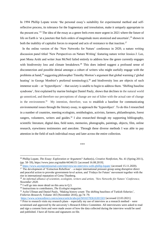In 1994 Phillip Lopate wrote 'the personal essay's suitability for experimental method and selfreflective process, its tolerance for the fragmentary and irresolution, make it uniquely appropriate to the present era.'<sup>25</sup> The idea of the essay as a genre feels even more urgent in 2021 where the future of life on Earth is 'at a juncture that feels orders of magnitude more atomized and uncertain',<sup>26</sup> shown in both the inability of capitalist forces to respond and acts of resistance to that inaction.<sup>27</sup>

 In the online version of the 'New Networks for Nature' conference in 2020, a nature writing discussion panel titled 'New Perspectives on Nature Writing' featuring nature writer Jessica J. Lee, poet Mona Arshi and writer Jean McNeil failed entirely to address how the genre currently engages with biodiversity loss and climate breakdown.<sup>28</sup> This does indeed suggest a profound sense of disconnection and possible denial amongst a cohort of writers who might usefully engage with the problems at hand,<sup>29</sup> suggesting philosopher Timothy Morton's argument that global warming ('global heating' in George Monbiot's preferred terminology),<sup>30</sup> and biodiversity loss are objects of such immense scale – or 'hyperobjects' – that society is unable to begin to address them. 'Shifting baseline syndrome', first explained by marine biologist Daniel Pauly, shows that declines in the natural world go unnoticed, and therefore our perceptions of change are out of kilter with the actual rate of change in the environment.<sup>31</sup> My intention, therefore, was to establish a baseline for communicating environmental issues through the literary essay, to approach the 'hyperobject'. To do this I researched in a number of countries, meeting ecologists, ornithologists, activists, farmers, philanthropists, forest rangers, volunteers, writers and guides.<sup>32</sup> I also researched through my supporting bibliography, scientific literature, digital data, field notes, memories, photographs, paintings, objects, film, online research, eyewitness testimonies and anecdote. Through these diverse methods I was able to pay attention in the field of each individual essay and later across the entire collection.

*\*\*\**

<sup>25</sup> Phillip Lopate, *The Essay: Exploration or Argument?* Author(s), *Creative Nonfiction*, No. 41 (Spring 2011), (pp. 58–59), https://www.jstor.org/stable/44346151 [accessed 16.08.2019].

<sup>&</sup>lt;sup>26</sup> <https://www.asymptotejournal.com/interview/an-interview-with-phillip-lopate/> (accessed 15.11.2020).

<sup>&</sup>lt;sup>27</sup> The development of 'Extinction Rebellion' – a major international pressure group using disruptive direct and peaceful action to provoke government-level action, and 'Fridays for Future' movement together with the rise in international reputation of Greta Thunberg.

<sup>28</sup> *An informal alliance of scientists, ecologists, writers and artists, 'New Networks for Nature' Conference, November 2020.*

 $29$  I will go into more detail on this area in Q.3.

<sup>30</sup> Instructions to contributors, *The Ecologist* magazine.

<sup>&</sup>lt;sup>31</sup> Aylin Ullman and Daniel Pauly, 'Making history count: The shifting baselines of Turkish fisheries', *Fisheries Research*, Volume 183 (November 2016), pp.74–79.

<https://www.sciencedirect.com/science/article/abs/pii/S0165783616301503> [accessed 22.03.2021].

 $32$  Prior to research visits my research plans – especially my use of interview as a research method – were scrutinised and approved by the university's Research Ethics Committee. All interviewees were asked to read and sign a consent form and were made aware of how the data collected during the interview would be used and published. I have all forms and signatures on file.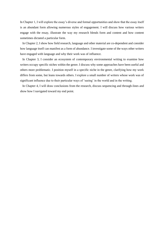In Chapter 1, I will explore the essay's diverse and formal opportunities and show that the essay itself is an abundant form allowing numerous styles of engagement. I will discuss how various writers engage with the essay, illustrate the way my research blends form and content and how content sometimes dictated a particular form.

 In Chapter 2, I show how field research, language and other material are co-dependent and consider how language itself can manifest as a form of abundance. I investigate some of the ways other writers have engaged with language and why their work was of influence.

 In Chapter 3, I consider an ecosystem of contemporary environmental writing to examine how writers occupy specific niches within the genre. I discuss why some approaches have been useful and others more problematic. I position myself in a specific niche in the genre, clarifying how my work differs from some, but leans towards others. I explore a small number of writers whose work was of significant influence due to their particular ways of 'seeing' in the world and in the writing.

 In Chapter 4, I will draw conclusions from the research, discuss sequencing and through-lines and show how I navigated toward my end point.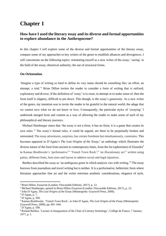# **Chapter 1**

### **How have I used the literary essay and its diverse and formal opportunities to explore abundance in the Anthropocene?**

In this chapter I will explore some of the diverse and formal opportunities of the literary essay, compare some of my approaches to key writers of the genre to establish alliances and divergences. I will concentrate on the following topics: orientating myself as a new writer of the essay; 'seeing' in the field of the essay; rhetorical authority; the use of structural forms.

#### **On Orientation**

'Imagine a type of writing so hard to define its very name should be something like: an effort, an attempt, a trial.'<sup>1</sup> Brian Dillon invites the reader to consider a form of writing that is unfixed, exploratory and diverse. If the definition of 'essay' is to *essai*, to attempt or to make sense of, then the form itself is slippery, difficult to pin down. This though, is the essay's generosity. As a new writer of the genre, my intention was to invite the reader to be grateful to the natural world; the adage that we cannot save what we do not know or love. Consequently, the particular styles of 'essaying' I undertook merged form and content as a way of allowing the reader to make sense of each of my philosophical and literary journeys.

 Michael Hamburger states that 'the essay is not a form, it has no form; it is a game that creates its own rules.'<sup>2</sup> The essay's formal rules, it could be argued, are there to be perpetually broken and reinvented. The essay adventures, surprises, has certain freedoms but simultaneously, constrains. This becomes apparent in D'Agata's *The Lost Origins of the Essay*, 3 an anthology which illustrates the diverse nature of the form from ancient to contemporary times, from the list (aphorisms) of Ziusudra*<sup>4</sup>* to Kamau Braithwaite's 'performative'<sup>5</sup> 'Trench Town Rock',<sup>6</sup> 'an illocutionary act'<sup>7</sup> written using patois, different fonts, font sizes and layout to address social and legal injustices.

Barthes described the essay as 'an ambiguous genre in which analysis vies with writing.'<sup>8</sup> The essay borrows from journalism and travel writing but is neither. It is a performative, belletristic form where literature approaches fine art and the writer entwines aesthetic considerations, elegance of style,

<sup>1</sup> Brian Dillon, *Essayism* (London: Fitzcaraldo Editions. 2017), p. 12.

<sup>2</sup> Michael Hamburger, quoted in Brian Dillon *Essayism* (London: Fitzcaraldo Editions, 2017), p. 13.

<sup>3</sup> John D'Agata, *The Lost Origins of the Essay* (Minneapolis: Graywolf Press, 2009).

<sup>4</sup> D'Agata, p. 7.

<sup>5</sup> D'Agata, p. 599.

<sup>6</sup> Kamau Braithwaite, 'Trench Town Rock', in John D'Agata, *The Lost Origins of the Essay* (Minneapolis: Graywolf Press, 2009), pp. 601–644.

<sup>7</sup> D'Agata, p. 599.

<sup>8</sup> Roland Barthes, 'Lecture in Inauguration of the Chair of Literary Semiology', Collège de France, 7 January 1977, p. 1.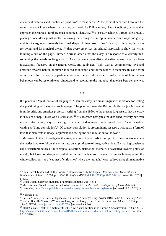discordant materials and 'contrarian positions'<sup>9</sup> to make sense. At the point of departure however, the writer may not know where the writing will lead. As Dillon states, 'I want obliquity, essays that approach their targets, for there must be targets, slantwise.'<sup>10</sup> The essay achieves through the strategic placing of one idea against another, allowing the writing to develop in unanticipated ways and gently nudging its arguments towards their final shape. Norman asserts that 'diversity is the essay's reason for being, and its principal theme',<sup>11</sup> that every essay has an original approach to show the writer thinking aloud on the page. Further, Norman asserts that the essay is a response to a writerly itch, something that needs to be got out.<sup>12</sup> As an amateur naturalist and writer whose gaze has been increasingly focussed on the natural world, my equivalent 'itch' was to communicate love and gratitude towards natural or human-induced abundance, and for the reader to recognise this as a form of activism. In this way my particular style of memoir allows me to make sense of how human behaviours can be restorative or ruinous, and to reconnoitre the 'agrapha' that exists between the two.

\*\*\*

If a poem is a 'small packet of language', $^{13}$  then the essay is a small linguistic laboratory for testing the positioning of ideas against language. The poet and essayist Rachel DuPlessis (an influential feminist critic and emeritus professor, writing from the 1960s to the present day) asserts that the essay is 'Less of a map – more of a disturbance.<sup>'14</sup> My research navigates the disturbed territory between image, information, ways of seeing, experience and opinion, far removed from Cocker's nature writing as 'blind consolation'.<sup>15</sup> Of course, consolation is present in my research, writing as a form of love that manifests in image, argument and seeing the self in relation to the world.

 My research, then, investigates the essay as a form that affords a multiplicity of modes – one where the reader is able to follow the writer into an amphitheatre of imaginative ideas. By making consistent use of structural devices (the 'agrapha', attention, distraction, memoir), I navigated towards points of insight, but have not always arrived at definitive conclusions. I began to view each essay – and the whole collection – as a 'cabinet of curiosities' where the 'agrapha' was realised through imaginative

<sup>9</sup> Anita Darcel Taylor and Phillip Lopate, 'Interview with Phillip Lopate', *Fourth Genre: Explorations in Nonfiction*, vol. 8 no. 1, 2006, pp. 125–137. *Project MUSE*, [doi:10.1353/fge.2006.0021](http://doi.org/10.1353/fge.2006.0021) [accessed 26.1.2021], p. 129.

<sup>10</sup> Brian Dillon, *Essayism* (London: Fitzcaraldo Editions, 2017), p. 14.

<sup>11</sup> Max Norman, 'What Essays are and What Essays Do', *Public Books: A Magazine of Ideas, Arts and Scholarship*, <https://www.publicbooks.org/what-essays-are-and-what-essayists-do/> [accessed 17.11.2020], p. 2.

<sup>12</sup> Norman, p. 3.

<sup>13</sup> Simon Armitage in 'Simon Stephens meets Simon Armitage', *Only Artists*, BBC Radio 4, 6 February 2020. <sup>14</sup> Rachel Blau DuPlessis, 'f-Words: An Essay on the Essay', *American Literature*, vol. 68, no. 1, 1996, pp. 15–45. *JSTOR*, [www.jstor.org/stable/2927538](http://www.jstor.org/stable/2927538) [accessed 3.2.2021].

<sup>15</sup> Mark Cocker, 'Death of a Naturalist: Why New Nature Writing is so Tame.' *New Statesman*, 17 June 2015. <https://www.newstatesman.com/culture/2015/06/death-naturalist-why-new-nature-writing-so-tame> [accessed 02.12.2020].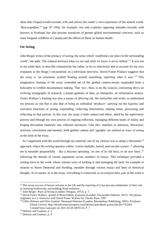ideas that I hoped would resonate with and inform the reader's own experience of the natural world. 'Beavergeddon'<sup>16</sup> (pp. 87–104), for example, not only explores opposing attitudes towards wild beavers in Scotland, but also pursues narratives of greater global environmental concerns, such as more frequent wildfires in Canada and the effects of these on human health.

#### **On Seeing**

John Berger writes of the primacy of seeing, the sense which 'establishes our place in the surrounding world', but adds 'The relation between what we see and what we know is never settled.'<sup>17</sup> It was not in my remit then, to describe exhaustively but rather, to do so selectively and to account for my own responses to the things I encountered. In a television interview, David Foster Wallace suggests that the essay is 'an enormous eyeball floating around something, reporting what it sees.'<sup>18</sup> This imaginative framing of the essay reminded me of the gimbal camera-mount suspended from a helicopter in wildlife documentary making. That 'eye', then, is me the essayist, contouring above an evolving stratigraphy of research, a hunter-gatherer of data, an interpreter, an information analyst. Foster Wallace's framing was also a means of allowing me, the researcher and writer, to understand my process as one that is also that of being an embodied 'producer' carrying out the logistics and executive functions of seeing, responding, collecting information, making sense, processing and reflecting on that process. In this way, the essay is both camera and editor, aided by the supervisory process and through my own process of ongoing reflection, managing different kinds of reality and forging discordant materials into coherent narratives. Like this, manifest as attention, distraction, activism, consolation and memoir, both gimbal camera and 'agrapha' are utilised as ways of seeing in the field of the essay.

As I negotiated with the world through my material, one of my choices was to adopt a rhizomatic<sup>19</sup> approach, where the writing operates within 'a more multiple, lateral, and circular system',  $^{20}$  allowing me to meander purposefully – like a rhizome operating 'on one of its old lines, or on new lines',  $2<sup>1</sup>$ following the threads of certain arguments across numbers of essays. This technique provided a uniting force in the work, where various ways of looking at and managing the land, for example in relation to Storm Desmond and flooding, meander through various essays and lines of rhetorical thought. As in nature, as in the essay, everything is connected; as an essayist then, part of the work is

<sup>&</sup>lt;sup>16</sup> The recent success of beaver releases in the UK and the reporting of it has become emblematic of their role in restoring biodiversity and building flood resilience.

<sup>17</sup> John Berger, *Ways of Seeing* (London: Penguin, 1972), p. 7.

<sup>&</sup>lt;sup>18</sup> David Foster Wallace, quoted in Brian Dillon, *Essayism* (London: Fitzcaraldo Editions, 2017). The phrase originates in a tv interview with David Foster Wallace by Charlie Rose, 1997.

<sup>19</sup> Gilles Deleuze and Felix Guattari *Thousand Plateaus* (London: Bloomsbury Publishing, 2001). *ProQuest Ebook Central*, http://ebookcentral.proquest.com/lib/lancaster/detail.action?docID=742364. Created from Lancaster on 2021-02-05 08:05:16. P. 7

 $20$  Deleuze and Guattari, p. 5.

<sup>21</sup> Deleuze and Guattari, p. 9.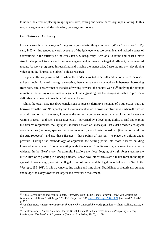to notice the effect of placing image against idea, testing and where necessary, repositioning. In this way my arguments and ideas develop, converge and cohere.

#### **On Rhetorical Authority**

 $\overline{a}$ 

Lopate shows how the essay is 'doing some journalistic things but assert(s)' its 'own voice'.<sup>22</sup> My early PhD writing tended towards over-use of the lyric eye, was too polemical and lacked a sense of adventuring in the territory of the essay itself. Subsequently I was able to refine and enact a more structural approach to voice and rhetorical engagement, allowing me to get at different, more nuanced modes. As work progressed in redrafting and shaping the manuscript, I asserted my own developing voice upon the 'journalistic things' I did as research.

 If a poem offers a 'pause of life'<sup>23</sup> where the reader is invited to be still, and fiction invites the reader to keep moving forwards through a narrative, then an essay exists somewhere in between, borrowing from both. Jamie has written of the idea of writing 'toward' the natural world',<sup>24</sup> implying the attempt in motion, the setting out of lines of argument but suggesting that the essayist is unable to provide a definitive version – or to reach definitive conclusions.

Whilst the essay may not draw conclusions or present definitive versions of a subjective truth, it borrows from the lyric 'I' in poetry and the omniscient voice in prose narrative novels where the writer acts with authority. In the essay I become the authority on the subjects under exploration. I enter the writing process – and each consecutive essay – governed by a developing ability to find and exploit the fissures (arguments, the 'agrapha', idealised views of landscape), that exist between ecological considerations (land-use, species loss, species return), and climate breakdown (the natural world in the Anthropocene), and use those fissures – those points of tension – to place the writing under pressure. Through the methodology of argument, the writing pours into those fissures building knowledge as a way of communicating with the reader. Simultaneously, my own knowledge is widened. In the 'Bear' essay, for example, I explore the illegal logging of virgin forests against the difficulties of re-planting in a drying climate. I show how intact forests are a major force in the fight against climate change, against the illegal export of timber and the legal import of wooden 'tat' to the West (pp. 139–161). In this way, navigating pacing and time shifts, I build lines of rhetorical argument and nudge the essay towards its targets and eventual dénouement.

<sup>22</sup> Anita Darcel Taylor and Phillip Lopate, 'Interview with Phillip Lopate' *Fourth Genre: Explorations in Nonfiction*, vol. 8, no. 1, 2006, pp. 125–137. *Project MUSE*, [doi:10.1353/fge.2006.0021](http://doi.org/10.1353/fge.2006.0021) [accessed 28.1.2021], p. 129.

<sup>23</sup> Jonathan Bate, *Radical Wordsworth: The Poet who Changed the World* (London: William Collins, 2020), p. 97.

<sup>24</sup> Kathleen Jamie (Author Statement for the British Council), in Daniel Weston, *Contemporary Literary Landscapes: The Poetics of Experience* (London: Routledge, 2016), p. 130.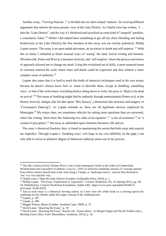Another essay, 'Viewing Stations',<sup>25</sup> is divided into six inter-related 'stations' for viewing different arguments that subvert the more prosaic view of the Lake District. As Charlie Gere has written, 'I … hate the "Lake District", and the way it's fetishised and sacralised as some kind of "unspoilt" paradise, a consolatory Eden'.<sup>26</sup> Whilst I did indeed have something to get off my chest (flooding and failing biodiversity in the Lake District), the first iteration of this essay was too overtly polemical. Phillip Lopate asserts 'The essay is an open ended adventure, an invitation to doubt and self-surprise.<sup>27</sup> With this in mind, I redrafted to blend unusual ways of 'seeing' the land, lyrical writing and humour, (Wordsworth, Potter and West at a literature festival), and 'self-surprise' where the process and choice of approach allowed me to change *my* mind. Using this revitalised set of skills, a more nuanced sense of curiosity entered the work where more self-doubt could be expressed and thus achieve a more complex sense of authority.<sup>28</sup>

 Lopate also states that it is hard to teach the kinds of rhetorical techniques used in his own essays because he doesn't always know how to 'name or describe them, except in fumbling, mumbling ways', or that if the writer knew everything before sitting down to write, the piece is 'likely to be dead on arrival.'<sup>29</sup> This sense of fumbling might find its authority through entertainment (Potter et al. at the literary festival), intrigue (the list that opens 'Mrs Janossy',) distraction (the structure and imagery of 'Circumspect Dancing'). As Lopate reminds us, these are all legitimate devices employed by Montaigne.<sup>30</sup> My essays then, are sometimes vehicles for asking more questions than are answered, where the writing 'feels more like balancing two sides of an equation',  $31$  'a site of resistance'  $32$  or 'a wound of perception',<sup>33</sup> the essay as unfinished space between literature, life and art.

 The essay's rhetorical freedom, then, is found in maintaining the notion that both essay and essayist are imperfect. Through Lopate's 'fumbling ways' writ large in my own fallibility on the page, I am only able to arrive at whatever degree of rhetorical authority arises out of my process.

<sup>25</sup> The title is derived from Thomas West's tour of and subsequent *Guide to the Lakes of Cumberland, Westmorland and Lancashire* (Cumbria: Unipress, 2008) in which he establishes dozens of 'viewing stations' from which visitors should look at the vista using a Claude, or 'landscape mirror', and are thus directed to 'see' in a very specific way.

<sup>26</sup> Charlie Gere, *I Hate the Lake District* (London: Goldsmiths Press, 2019), p. 1.

<sup>27</sup> Phillip Lopate, 'The Essay: Exploration or Argument?' *Creative Nonfiction*, No. 41 (Spring 2011), pp. 58– 59. Published by: Creative Nonfiction Foundation. Stable URL: https://www.jstor.org/stable/44346151 [accessed: 16.08.2019].

<sup>&</sup>lt;sup>28</sup> Just as each essay is a rhetorical viewing station, so I now view the whole book as a viewing station for exploring my key themes under the larger concept of the Anthropocene.

<sup>29</sup> Lopate, p. 107.

<sup>30</sup> Lopate, p. 108.

<sup>31</sup> Maggie Nelson, *Bluets* (London: Jonathan Cape, 2009), p. 75.

<sup>32</sup> David Lazar, 'Queering the Essay', p. 19.

<sup>&</sup>lt;sup>33</sup> David Lazar, 'Queering the Essay'; Kazim Ali, 'Genre-Queer', in Margot Singer and Nicole Walker (eds.), *Bending Genre* (New York: Bloomsbury Academic, 2013), p. 32.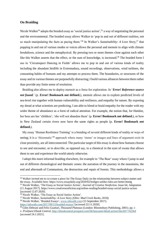#### **On Braiding**

Nicole Walker<sup>34</sup> adopts the braided essay as 'social justice action',<sup>35</sup> a way of negotiating the personal and the environmental. The braided essay allows Walker to 'pop in and out of different realities*,* not so much manipulating the facts as pacing them.'<sup>36</sup> In Walker's *Sustainability: A Love Story*, <sup>37</sup> that popping in and out of various modes or voices allows the personal and memoir to align with climate breakdown, science and the metaphysical. By pressing two or more themes close against each other like this Walker asserts that the effect, or the sum of knowledge, is increased.<sup>38</sup> The braided form I use in 'Circumspect Dancing in Fields' allows me to pop in and out of various kinds of reality including the abundant birdlife in Extremadura, sound recordings, observations, wind turbines, the consuming habits of humans and my attempts to process them. The boundaries, or structures of the essay and its various themes are purposefully distracting; I build various alliances between them rather than provide any finite sense of resolution.

 Braiding also allows me to deploy memoir as a force for exploration. In '*Error! Reference source not found.*' (p. **Error! Bookmark not defined.**), memoir allows me to explore predicted levels of sea-level rise together with human vulnerability and resilience, and empathy for nature. By exposing my dread at what scientists are predicting, I am able to blend or braid empathy for the reader with my wider theme of abundance as a form of radical attention. For example, the notion that, for Hatidze, her bees are her 'children', 'she will not abandon them' (p. **Error! Bookmark not defined.**), or how in New Zealand certain rivers now have the same rights as people (p. **Error! Bookmark not defined.**).

 My essay 'Human Resilience Training' is a braiding of several different kinds of reality or ways of seeing; it is a 'rhizomatic'<sup>39</sup> approach where many 'stems' or images and lines of argument exist in close proximity, are all interconnected. The particular target of this essay is about how humans choose to see and encounter, or to *describe*, as opposed say, to a chemical in the eyes of swans that allows them to see and experience the world utterly otherwise.

 I adopt this more informal braiding elsewhere, for example in 'The Bear' essay where I jump in and out of different chronological and thematic zones: the narration of the journey in the mountains, the end and aftermath of Communism, the destruction and repair of forests. This methodology allows a

<sup>&</sup>lt;sup>34</sup> Walker invited me to co-create a piece for The Essay Daily on the relationship between subject matter and the essay. Available here: https://www.essaydaily.org/2020/02/bridges-unlike-rules-are-better.htmlg <sup>35</sup> Nicole Walker, 'The Essay as Social Justice Action', *Journal of Creative Nonfiction*, Issue 64, Adaptation

<sup>(11</sup> August 2017)[. https://www.creativenonfiction.org/online-reading/braided-essay-social-justice-action](https://www.creativenonfiction.org/online-reading/braided-essay-social-justice-action) [accessed 12.07.2020].

<sup>&</sup>lt;sup>36</sup> Nicole Walker, 'The Essay as Social Justice Action'.

<sup>37</sup> Nicole Walker, *Sustainability: A Love Story (Ohio: Mad Creek Books, 2018).*

<sup>38</sup> Nicole Walker, 'Braided Essays', [www.nikwalk.com](http://www.nikwalk.com/) (15 September 2017). <https://nikwalk.com/2017/09/15/braided-essays/> [accessed 22.11.2020].

<sup>39</sup> Giles Deleuze and Felix Guattari, *Thousand Plateaus* (London: Bloomsbury Publishing, 2001). pp. i– v. *ProQuest Ebook Central*,<http://ebookcentral.proquest.com/lib/lancaster/detail.action?docID=742364> [accessed 24.1.2021].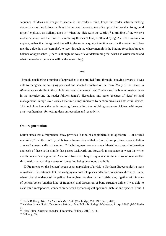sequence of ideas and images to accrue in the reader's mind, keeps the reader actively making connections as they follow my lines of argument. I chose to use this approach rather than foreground myself explicitly as Bellamy does in 'When the Sick Rule the World',<sup>40</sup> a braiding of the writer's mother's cancer and the film *E.T.* examining themes of love, death and dying. As I shall continue to explore, rather than foreground the self in the same way, my intention was for the reader to follow me, the guide, into the 'agrapha', to 'see' through me where memoir is the binding force in a broader balance of approaches. (There is, though, no way of ever determining that what I as writer intend and what the reader experiences will be the same thing).

#### \*\*\*

Through considering a number of approaches to the braided form, through 'essaying towards', I was able to recognise an emerging personal and adapted variation of the form. Many of the essays in *Abundance* are similar to the style Jamie uses in her essay 'Lek',<sup>41</sup> where section breaks create a pause in the narrative and the reader follows Jamie's digressions into other 'theatres of ideas' on land management. In my 'Wolf' essay I use time-jumps indicated by section breaks as a structural device. This technique keeps the reader moving forwards into the unfolding sequence of ideas, with myself as a 'weatherglass' for testing ideas on reception and receptivity.

#### **On Fragmentation**

Dillon states that a fragmented essay provides 'a kind of conglomerate; an aggregate … of diverse materials',<sup>42</sup> that there is 'rhyme' between fragments and that in 'correct compositing or constellation ... one (fragment) calls to the other.<sup>43</sup> Each fragment presents a new 'thesis' or sliver of information and each of these is the shuttle that passes backwards and forwards in sequence between the writer and the reader's imagination. As a collective assemblage, fragments constellate around one another rhizomatically, accruing a sense of something being developed and built.

'80 Fragments on the Pelican' began as an unpacking of a visit to Northern Greece amidst a mass of material. First attempts felt like wedging material into place and lacked cohesion and control. Later, when I found evidence of the pelican having been resident in the British Isles, together with images of pelican bones (another kind of fragment) and discussion of bone structure online, I was able to establish a metaphorical connection between archaeological specimen, habitat and species. Thus, I

<sup>40</sup> Dodie Bellamy, *When the Sick Rule the World* (Cambridge, MA: MIT Press, 2015).

<sup>41</sup> Kathleen Jamie, 'Lek', *New Nature Writing*, 'Four Talks for Spring', Wednesday 11 April 2007 (BBC Radio 3).

<sup>42</sup> Brian Dillon, *Essayism* (London: Fitzcaraldo Editions, 2017), p. 68.

<sup>43</sup> Dillon, p. 69.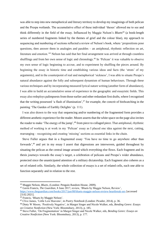was able to step into new metaphorical and literary territory to develop my imaginings of both pelican and the Prespa wetlands. The accumulative effect of these individual 'theses' allowed me to see and think differently in the field of the essay. Influenced by Maggie Nelson's *Bluets*<sup>44</sup> (a book-length series of numbered fragments linked by the themes of grief and the colour blue), my approach to sequencing and numbering of sections reflected a review of Nelson's book, where 'propositions pose questions, then answer them in analogies and parables – an antiphonal, rhythmic reflection on art, literature and emotion.<sup>'45</sup> Nelson has said that her final arrangement was arrived at through countless shufflings and from her own sense of logic and chronology.<sup>46</sup> In 'Pelican' it was valuable to observe my own sense of logic beginning to accrue, and to experiment by shuffling the pieces around. By beginning the essay in historic time and establishing various ideas and facts (the 'struts' of my arguments), and in the counterpoint of real and metaphorical 'sickness', I was able to situate Prespa's natural abundance against the folly and subsequent dynamism of human behaviours. Through these various techniques and by incorporating measured lyrical nature writing (another form of abundance), I was able to build an accumulative sense of experience in the geographic and essayistic fields. This essay also redeploys palimpsests from those earlier and other redundant first drafts, where I recognised that the writing possessed 'a flash of illumination', $47$  for example, the conceit of birdwatching in the painting 'The Garden of Earthly Delights' (p. 111).

 I was also drawn to the way that sequencing and/or numbering of the fragmented form provides a different aesthetic experience for the reader. Moore asserts that the white space on the page also invites the reader to make 'The energy of the jump',<sup>48</sup> from piece to collaged piece. That antiphonal, rhythmic method of working is at work in my 'Pelican' essay as I placed one idea against the next, cutting, rearranging – recognising and creating 'missing' sections as essential links in the chain.

 Steve Fuller argues that in a fragmented essay 'You have no time to go anywhere other than forwards',<sup>49</sup> and yet in my essay I assert that digressions are interwoven, guided throughout by situating the pelican as the central image around which everything else flows. Each fragment and its thesis journeys towards the essay's target, a celebration of pelicans and Prespa's wider abundance, protected since the unanticipated attention of a military dictatorship. Each fragment also coheres as a set of related cells. Similarly, the whole collection of essays is a set of related cells, each one able to function separately and in relation to the rest.

<sup>44</sup> Maggie Nelson, *Bluets,* (London: Penguin Random House, 2009).

<sup>45</sup> Gavin Francis, *The Guardian*, 8 June 2017, review, 'Bluets by Maggie Nelson, Review',

<https://www.theguardian.com/books/2017/jun/08/bluets-maggie-nelson-review-heartbreak-sex> [accessed 23.02.2021].

<sup>46</sup> Francis, 'Bluets by Maggie Nelson'.

<sup>47</sup> Clive James, 'Little Low Heavens', in *Poetry Notebook* (London: Picador, 2014), p. 36.

<sup>48</sup> Dinty W Moore, 'Positively Negative', in Margot Singer and Nicole Walker, eds, *Bending Genre: Essays on Creative Nonfiction* (New York: Bloomsbury, 2013), p. 185.

<sup>49</sup> Steve Fuller, 'On Fragmentation' in Margot Singer and Nicole Walker, eds, *Bending Genre: Essays on Creative Nonfiction* (New York: Bloomsbury, 2013), p. 177.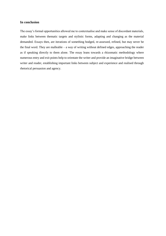#### **In conclusion**

The essay's formal opportunities allowed me to contextualise and make sense of discordant materials, make links between thematic targets and stylistic forms, adapting and changing as the material demanded. Essays then, are iterations of something bodged, re-assessed, refined, but may never be the final word. They are malleable – a way of writing without defined edges, approaching the reader as if speaking directly to them alone. The essay leans towards a rhizomatic methodology where numerous entry and exit points help to orientate the writer and provide an imaginative bridge between writer and reader, establishing important links between subject and experience and realised through rhetorical persuasion and agency.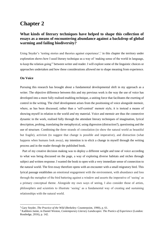## **Chapter 2**

### **What kinds of literary techniques have helped to shape this collection of essays as a means of encountering abundance against a backdrop of global warming and failing biodiversity?**

Using Snyder's 'testing stories and theories against experience',<sup>1</sup> in this chapter the territory under exploration shows how I used literary technique as a way of 'making sense of the world in language, to keep the relation going'<sup>2</sup> between writer and reader. I will explore some of the linguistic choices or approaches undertaken and how these considerations allowed me to shape meaning from experience.

#### **On Voice**

 $\overline{\phantom{a}}$ 

Pursuing this research has brought about a fundamental developmental shift in my approach as a writer. The objective difference between this and my previous work is the way the use of voice has developed into a more fully realised enabling technique, a uniting force that facilitates the exerting of control in the writing. The chief development arises from the positioning of voice alongside memoir, where, as has been discussed, rather than a 'self-centred' memoir style, it is instead a means of showing myself in relation to the world *and* my material. Voice and memoir are thus the connective dynamic in the work, realised fully through the attendant literary techniques of imagination, lyrical description, probing, translating the metaphysical, using digression (distraction?), questioning and the use of structure. Combining the three strands of consolation (to show the natural world as beautiful but fragile), activism (to suggest that change is possible and imperative), and distraction (what happens when humans look away), my intention is to elicit a change in myself through the writing process and in the reader through the published book.

 Part of my creative decision making was to deploy a different weight and tone of voice according to what was being discussed on the page, a way of exploring diverse habitats and niches through subject and written response. I wanted the book to open with a very immediate sense of connection to the natural world. The first essay therefore opens with an encounter with a small migratory bird. This lyrical passage establishes an emotional engagement with the environment, with abundance and loss through the metaphor of the bird battering against a window and asserts the imperative of 'seeing' as a primary conceptual theme. Alongside my own ways of seeing, I also consider those of artists, philosophers and scientists to illustrate 'seeing' as a fundamental way of creating and sustaining relationships with the natural world.

<sup>1</sup> Gary Snyder, *The Practice of the Wild* (Berkeley: Counterpoint, 1990), p. 61.

<sup>2</sup> Kathleen Jamie, in Daniel Weston, *Contemporary Literary Landscapes: The Poetics of Experience* (London: Routledge, 2016), p. 142.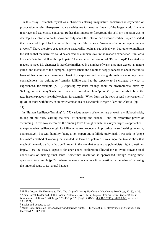In this essay I establish myself as a character entering imaginative, sometimes idiosyncratic or provocative terrain. First-person voice enables me to broadcast 'news of the larger world',<sup>3</sup> where reportage and experience converge. Rather than impose or foreground the self, my intention was to develop a narrator who could show curiosity about the interior and exterior worlds. Lopate asserted that he needed to peel back some of those layers of the personal '*because* of all other layers that are at work.<sup>24</sup> I have therefore used memoir strategically, not in an egotistical way, but rather to implicate the self so that the narrative could be enacted on a human level in the reader's experience. Similar to Lopate's 'wind-up doll – Phillip Lopate',<sup>5</sup> I considered the version of 'Karen Lloyd' I wanted my readers to meet. My character is therefore implicated in a number of ways: as a 'non-expert', a 'nature guide' and mediator of the 'agrapha', a provocateur and a mother deeply concerned about the future lives of her sons on a degrading planet. By exposing and working through some of my inner contradictions, the writing self remains fallible and has the capacity to be changed by what is experienced, for example (p. 10), exposing my inner feelings about the environmental crisis by 'talking' to the Granny Scots pine. I have also considered how 'present' my voice needs to be in the text. In some places it is entirely evident for example, 'When I turn on the news or read a newspaper…' (p. 8), or more withdrawn, as in my examinations of Newcomb, Berger, Clare and Akroyd (pp. 10– 11).

 In 'Human Resilience Training' (p. 75) various aspects of memoir are at work: a childhood crisis, falling off my bike, learning the 'arts' of shouting and silence – and the restorative power of swimming. In this way memoir is the binding force through which the essay's target is approached – to explore what resilience might look like in the Anthropocene. Implicating the self, writing honestly, authoritatively but with humility, being a non-expert and a fallible individual, I was able to 'grope towards'<sup>6</sup> a method of working that avoided the terrain of polemic. It was important to also show that much of the world can't, in fact, be 'known', in the way that experts and polemicists might sometimes imply. Here the essay's capacity for open-ended exploration allowed me to avoid drawing final conclusions or making final sense. Sometimes resolution is approached through asking more questions, for example (p. 74), where the essay concludes with a question on the value of returning the imperial eagle to its natural habitats.

\*\*\*

<sup>3</sup> Phillip Lopate, *To Show and to Tell: The Craft of Literary Nonfiction* (New York: Free Press, 2013), p. 25. <sup>4</sup> Anita Darcel Taylor and Phillip Lopate, 'Interview with Phillip Lopate', *Fourth Genre: Explorations in Nonfiction*, vol. 8, no. 1, 2006, pp. 125–137, p. 128. *Project MUSE*, [doi:10.1353/fge.2006.0021](http://doi.org/10.1353/fge.2006.0021) [accessed 28.1.2021].

<sup>5</sup> Taylor and Lopate, p. 128.

<sup>6</sup> Mark Doty, 'Souls on Ice', *Academy of American Poets*, 18 July 2000, p. 1[. https://poets.org/text/souls-ice](https://poets.org/text/souls-ice) [accessed 23.03.2021].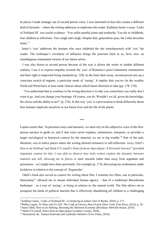In places I made strategic use of second person voice. I was interested in how this creates a different kind of dynamic – where the writing addresses or implicates the reader. Kathleen Jamie's essay 'Links of Noltland III' was useful evidence: 'You suffer painful joints and toothache. You die in childbirth, lose children to infections. You cough and cough. Despite that, generations pass, the Links becomes home.'<sup>7</sup>

 Jamie's 'you' addresses the humans who once inhabited the site simultaneously with 'you' the reader. The technique's circularity of influence brings the *punctum* back to *us, here, now*, an unambiguous transmuted version of our future selves.

 I was also drawn to second person because of the way it allows the writer to inhabit different realities. I use it to express empathy towards the 'you' of Romania's post-Communist communities and their right to improved living standards (p. 159). In the final short essay, second person sets up a conscious switch of register, a particular mode of 'seeing'. It implies that you/we (in the wealthy North and West) have at least some choices about which future direction to take (pp. 178–179).

 'You understand that to continue in the wrong direction is to take you somewhere you really don't want to go. And you change your bearings. Of course, you do. Wouldn't we all, given the knowledge, the choice and the ability to act?' (p. 276). In this way 'you' is a provocation to think differently about how humans implicate ourselves in our future lives and the life of the planet.

#### \*\*\*

Lopate asserts that, 'In personal essays and memoirs, we must rely on the subjective voice of the firstperson narrator to guide us, and if that voice never explains, summarises, interprets, or provides a larger sociological or historical context for the material, we are in big trouble.<sup>8</sup> Part of the task, therefore, was to notice places where the writing showed resistance to self-reflection. Jenny Odell's *How to do Nothing*<sup>9</sup> and Mark O'Connell's *Notes from an Apocalypse: A Personal Journey*<sup>10</sup> provided important context for this. I was able to observe how both writers explore the dynamic between material and self, allowing me in places to steer towards rather than away from argument and persuasion – as I might have done previously. For example (p. 173), discussing my restlessness under lockdown in relation to the concept of 'Zugunruhe'.

 Odell's book also served as context for writing about film. I examine two films; one in particular, Honeyland,<sup>11</sup> allowed me to situate individual human agency – that of a traditional Macedonian beekeeper – as a way of 'seeing', or being in relation to, the natural world. The film allows me to juxtapose the kinds of political inaction that is effectively abandoning *all* children to a challenging

<sup>7</sup> Kathleen Jamie, 'Links of Noltland III', in *Surfacing* (London: Sort of Books, 2019), p. 171.

<sup>8</sup> Phillip Lopate, *To Show and To Tell: The Craft of Literary Non-Fiction* (New York: Free Press, 2013), p. 29.

<sup>&</sup>lt;sup>9</sup> Jenny Odell, *How to do Nothing; Resisting the Attention Economy* (Brooklyn: Melville House, 2019).

<sup>10</sup> Mark O'Connell, *Notes from an Apocalypse* (London: Granta, 2020).

<sup>&</sup>lt;sup>11</sup> *Honeyland*, dir. Tamara Kotevska and Ljubomir Stefanov (Trice Films, 2019).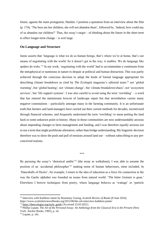future, against the main protagonist, Hatidze. I position a quotation from an interview about the film (p. 174), 'The bees are her children; she will not abandon them', followed by, 'Indeed, how could any of us abandon our children?' Thus, the essay's target – of thinking about the future in the short term to effect longer-term change – is writ large.

#### **On Language and Structure**

Jamie asserts that 'language is what we do as human beings, that's where we're at home, that's our means of negotiating with the world. So it doesn't get in the way, it enables. We do language like spiders do webs.<sup>'12</sup> In my work, 'negotiating with the world' had to accommodate a continuum from the metaphysical or numinous in nature to despair at political and human distraction. This was partly achieved through the conscious decision to adopt the kinds of formal language appropriate for describing climate breakdown as cited by *The Ecologist* magazine's editorial team:<sup>13</sup> not 'global warming', but 'global heating'; not 'climate change', but 'climate breakdown/chaos'; not 'ecosystem services', but 'life support systems'. I was also careful to avoid using the term 'rewilding' – a word that has entered the mainstream lexicon of landscape repair but that nevertheless carries many negative connotations – particularly amongst many in the farming community. It is an unfortunate truth that farmers and land-managers have carried out their current methods for decades, incentivised through financial schemes, and frequently understand the term 'rewilding' to mean putting the land back to some unknown point in history. Many in those communities are now understandably anxious about impending changes to farm management and funding, and I was therefore equally anxious not to use a term that might proliferate alienation, rather than bridge understanding. My linguistic decision therefore was to show the push and pull of tensions around land use – without subscribing to any preconceived notions.

\*\*\*

By pursuing the essay's 'rhetorical amble'<sup>14</sup> (the essay as walkabout), I was able to assume the position of an 'accidental philosopher'<sup>15</sup> making sense of human behaviours, mine included. In 'Dancehalls of Desire', for example, I return to the idea of education as a force for connection in the way the Gaelic alphabet was founded on nouns from natural world: 'The letter *Geanais* is gean.' Elsewhere I borrow techniques from poetry, where language behaves as 'wattage' or 'particle

<sup>12</sup> Interview with Kathleen Jamie by Rosemary Goring, *Scottish Review of Books* (8 June 2016). https://www.scottishreviewofbooks.org/2012/06/the-srb-interview-kathleen-jamie/

<sup>&</sup>lt;sup>13</sup> [https://theecologist.org/style\\_guide](https://theecologist.org/style_guide) [Accessed 23.03.2021].

<sup>14</sup> Phillip Lopate, *The Art of the Personal Essay: An Anthology from the Classical Era to the Present* (New York: Anchor Books, 1995), p. xli.

<sup>15</sup> Lopate, p. xlii.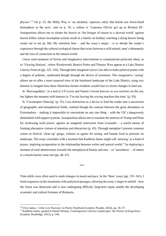physics'.<sup>16</sup> On p. 23, the Milky Way is 'an etiolated, vaporous entity that braids one forest-lined hemisphere to the next', and on p. 38, a vulture is 'Laurence Olivier got up as Richard III'. Juxtaposition allows me to situate the beaver as 'the bringer of reason to a skewed world' against beaver killers whose incomplete actions result in a family on holiday watching a dying beaver being swept out to sea (p. 84). My intention here – and the essay's target – is to abrade the reader's experience through the cultural ecological chasm that exists between a wild animal, man's inhumanity and the loss of connection to the natural world.

 I have used moments of fiction and imaginative interventions to communicate particular ideas, as in 'Viewing Stations', where Wordsworth, Beatrix Potter and Thomas West appear at a Lake District Literary Festival (pp. 125–126). Through their imagined voices I am able to make political points with a degree of polemic, moderated though through the device of invention. This imaginative 'seeing' allows me to offer a more nuanced view of the fetishised landscape of the Lake District, using wry humour to imagine how these illustrious former residents would react to recent changes in land use.

 In 'Beavergeddon', in a nod to CS Lewis and Narnia I invent beavers as eco-warriors on the run, but lighten the moment with humour in 'I'm not leaving the sewing machine this time' (p. 93).

 In 'Circumspect Dancing' (p. 35), I use distraction as a device to lead the reader into a succession of geographic and metaphorical fields, realised though the contrast between the great abundance in Extremadura – making it impossible to concentrate on any one thing – with the UK's dangerously diminished wild support systems. Juxtaposition allows me to examine the motives of Trump and Putin for eschewing wind power, against an imagined instruction from Leonardo – a useful means of framing alternative visions of attention and distraction (p. 45). Through metaphor I present common cranes as festival 'clean up' gangs, vultures as agents for seeing, and human food as pressure on landscape. The essay concludes with a moment that Kathleen Jamie might call 'noticing' as a kind of prayer, implying recuperation in the relationship between writer and natural world,<sup>17</sup> by deploying a moment of total attentiveness towards the metaphysical beauty and awe – or 'sacredness' – of nature in a marsh harrier roost site (pp. 46–47).

\*\*\*

Time-shifts were often used to mark changes in mood and pace. In the 'Bear' essay (pp. 139–161), I braid sequences in the mountains with analytical passages, allowing the essay's target to unfold – how the forest was destroyed and is now undergoing difficult, long-term repair amidst the developing economic and cultural fortunes of Romania.

<sup>16</sup> Clive James, 'Little Low Heavens' in *Poetry Notebook* (London: Picador, 2014), pp. 36–37.

<sup>17</sup> Kathleen Jamie, quoted in Daniel Weston, *Contemporary Literary Landscapes: the Poetics of Experience* (London: Routledge, 2015), p. 140.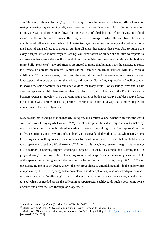In 'Human Resilience Training' (p. 75), I use digressions to pursue a number of different ways of seeing or sensing: my swimming self, how swans see, my parent's relationship and its corrosive effect on me, the way authorities play down the toxic effects of algal bloom, before moving into flood narratives. Damselflies are the key in the essay's lock, the image to which the narrative returns in a circularity of influence. I use the layout of poetry to suggest a synthesis of image and word to describe the habits of damselflies. It is through building all these digressions that I was able to pursue the essay's target, which is how ways of 'seeing' can either assist or hinder our abilities to respond to extreme weather events, the way flooding divides communities, and how communities and individuals might build 'resilience' – a word often appropriated to imply that humans have the capacity to resist the effects of climate breakdown. Whilst Storm Desmond presented humans with the 'witless indifference'<sup>18</sup> of climate chaos, in contrast, the essay allows me to interrogate both inner and outer landscapes and to exert control on the writing and material. Part of my exploration of resilience was to show how some communities remained divided for many years (Pooley Bridge: five and a half years to replace), whilst others exerted their own form of control: the man in the Post Office and a business owner in Staveley (p. 82). In contrasting water as both a restorative *and* destructive force, my intention was to show that it is possible to write about nature in a way that is more adapted to climate issues than mere lyricism.

Doty asserts that 'description is an inexact, loving art, and a reflexive one; when we describe the world we come closer to saying what we are.'<sup>19</sup> My use of descriptive, lyrical writing is a way to make my own meanings out of a multitude of materials. I wanted the writing to perform appropriately in different situations, in other words to be imbued with its own kind of resilience. Elsewhere Doty refers to writing as 'something to serve as a container for emotion and idea, a vessel that can hold what's too slippery or charged or difficult to touch.<sup>20</sup> Allied to this idea, in my research imaginative language is a container for aligning slippery or charged subjects. Contrast, for example, me stabbing the 'big pregnant swag' of rainwater above the sitting room window (p. 80), and the ensuing sense of relief, with capercaillie 'strutting around the lek-site like hedge-fund managers high on profit' (p. 101), or the closing fragment of the Prespa essay, 'the tenebrous shade of diminishing night' in the underwings of a pelican (p. 119). This synergy between material and descriptive response was an adaptation made over time, where the 'scaffolding' of early drafts and the rejection of some earlier essays enabled me to 'see' what was needed across the collection: a superstructure achieved through a developing sense of cause and effect realised through language itself.

<sup>18</sup> Kathleen Jamie, *Sightlines* (London: Sort of Books, 2012), p. 10.

<sup>19</sup> Mark Doty, *Still Life with Oysters and Lemons* (Boston: Beacon Press, 2001), p. 6.

<sup>20</sup> Mark Doty, 'Souls on Ice', *Academy of American Poets*, 18 July 2000, p. 1.<https://poets.org/text/souls-ice> [accessed 23.03.2021].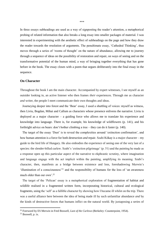In three essays subheadings are used as a way of signposting the reader's attention, a metaphorical probing of related information that also breaks a long essay into smaller packages of material. I was interested in experimenting with the aesthetic effect of subheadings on the page and how they draw the reader towards the resolution of arguments. The penultimate essay, 'Cathedral Thinking', thus moves through a series of 'rooms of thought' on the nature of abundance, allowing me to journey through a sequence of ideas on the possibility of restoration and repair, on ways of seeing and on the transformative potential of the human mind, a way of bringing together everything that has gone before in the book. The essay closes with a poem that segues deliberately into the final essay in the sequence.

#### **On Character**

Throughout the book I am the main character. Accompanied by expert witnesses, I see myself as an outsider looking in, an active listener who then frames *their* experiences. Through me as character *and* writer, the people I meet communicate their own thoughts and ideas.

 Journeying deeper into forest and the 'Bear' essay, I used a shuttling of voices: myself as witness, then Liviu, Bogdan, Mihai and Callum as characters whose presence enlivens the narrative. Liviu is deployed as a major character – a guiding force who allows me to translate his experience and knowledge into language. There is, for example, his knowledge of wildflowers (p. 141), and his forthright advice on bears: don't bother climbing a tree – they can do it faster (p. 140).

 The target of the essay 'Dust' is to reveal the complexities around 'extinction confirmation', and how human attention is a force for both destruction *and* repair. Szabi Kókay is a major character – my guide to the bird life of Hungary. He also embodies the experience of seeing one of the very last of a species: the slender-billed curlew. Szabi's 'extinction pilgrimage' (p. 51) and the painting he made as a response open up this particular aspect of the narrative to ekphrastic scrutiny, where imagination and language engage with the act implicit within the painting, amplifying its meaning. Szabi's character, then, manifests as a bridge between existence and loss, foreshadowing Merwin's 'illumination of a consciousness'<sup>21</sup> and the responsibility of humans for the loss of 'an awareness much older than our own'.<sup>22</sup>

 The target of the 'Pelican' essay is a metaphorical exploration of fragmentation of habitat and wildlife realised in a fragmented written form, incorporating historical, cultural and ecological fragments, using the 'self' as a fallible character by showing how I became ill whilst on the trip. There was a useful alliance here between the idea of being made ill by such unfamiliar abundance *and* by the kinds of destructive forces that humans inflict on the natural world. By juxtaposing a series of

<sup>21</sup> Foreword by ES Merwin in Fred Boswell, *Last of the Curlews* (Berkeley: Counterpoint, 1954).

 $22$  Boswell, p. ix.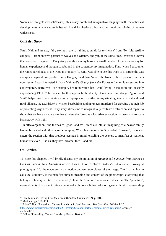'rooms of thought' (vessels/theses), this essay combined imaginative language with metaphorical developments where nature is beautiful and inspirational, but also an unwitting victim of human witlessness.

#### **On Fairy Story**

Sarah Maitland asserts, 'fairy stories ... are ... training grounds for resilience' from 'Terrible, terrible dangers' – from abusive parents to wolves and witches, and yet, at the same time, 'everyone knows that forests are magical.'<sup>23</sup> Fairy story manifests in my book in a small number of places, as a way for human experience and thought to rebound in the contemporary imagination. Thus, when I encounter the ruined farmhouse in the wood in Hungary (p. 63), I was able to use this trope to illustrate the vast changes in agricultural production in Hungary, and how 'other' the lives of those previous farmers now seem. I was interested in how Maitland's *Gossip from the Forest* reframes fairy stories into contemporary narratives. For example, her reinvention has Gretel living in isolation and possibly experiencing PTSD.<sup>24</sup> Influenced by this approach, the duality of resilience and danger, 'good' and 'evil', helped me to assimilate a similar repurposing, manifest in my situating Romania's abandoned rural villages, the taxi driver's twist on bearbaiting, and in rangers murdered for carrying out their job of protecting virgin forest. Fairy story allows me to imaginatively resituate destruction and repair, to show that we have a choice – either to view the forest as a lucrative extraction industry – or to scare bears away with light.

 In 'Beavergeddon', the themes of 'good' and evil' translate into an imagining of a beaver family having been shot and other beavers escaping. When beavers recur in 'Cathedral Thinking', the reader enters the section with that previous passage in mind, enabling the beavers to manifest as sentient, humanistic even. Like us, they live, breathe, feed – and die.

#### **On Barthes**

To close this chapter, I will briefly discuss my assimilation of *studium* and *punctum* from Barthes's *Camera Lucida.* In a *Guardian* article, Brian Dillon explores Barthes's intention in looking at photographs:<sup>25</sup> '... he elaborates a distinction between two planes of the image. The first, which he calls the 'studium', is the manifest subject, meaning and context of the photograph: everything that belongs to history, culture, even to art';<sup>26</sup> here the 'studium' is a wider education. The 'punctum', meanwhile, is 'that aspect (often a detail) of a photograph that holds our gaze without condescending

<sup>23</sup> Sara Maitland, *Gossip from the Forest* (London: Granta, 2012), p. 101.

<sup>24</sup> Maitland, pp. 108–114.

<sup>25</sup> Brian Dillon, 'Rereading; Camera Lucida by Roland Barthes', *The Guardian*, 26 March 2011. <https://www.theguardian.com/books/2011/mar/26/roland-barthes-camera-lucida-rereading> [accessed 25.02.2021].

<sup>26</sup> Dillon, 'Rereading; Camera Lucida by Roland Barthes.'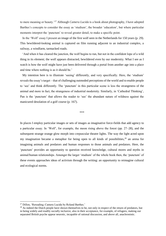to mere meaning or beauty.'<sup>27</sup> Although *Camera Lucida* is a book about photography, I have adopted Barthes's concepts to consider the essay as 'studium', the broader 'education', but where particular moments interpret the 'punctum' to reveal greater detail, to make a specific point.

 In the 'Wolf' essay I present an image of the first wolf seen in the Netherlands for 150 years (p. 29). This bewildered-looking animal is captured on film running adjacent to an industrial complex, a railway, a windfarm, tarmacked roads.

 'And when it has cleared the junction, the wolf begins to run, but not in the confident lope of a wild thing in its element; the wolf appears distracted, bewildered even by our modernity. What I see as I watch is how the wolf might have just been delivered through a portal from another age into a place and time where nothing is as it should be.'

My intention here is to illustrate 'seeing' differently, and very specifically. Here, the 'studium' reveals the essay's target – that of challenging outmoded perceptions of the world and to enable people to 'see' and think differently. The 'punctum' in this particular scene is less the strangeness of the animal and more in fact, the strangeness of industrial modernity. Similarly, in 'Cathedral Thinking', Pan is the 'punctum' that allows the reader to 'see' the abundant nature of wildness against the manicured desolation of a golf course (p. 167).

\*\*\*

In places I employ particular images or sets of images as imaginative force-fields that add agency to a particular essay. In 'Wolf', for example, the moon rising above the forest (pp. 27–28), and the subsequent strange orange glow morph into crepuscular theatre lights. The way the light acted upon my imagination became a metaphor for being open to all kinds of possibilities,  $28$  an arena for imagining animals and predators and human responses to those animals and predators. Here, the 'punctum' provides an opportunity to question received knowledge, cultural mores and myths in animal/human relationships. Amongst the larger 'studium' of the whole book then, the 'punctum' of these events approaches ideas of activism through the writing: an opportunity to reimagine cultural and ecological norms.

<sup>27</sup> Dillon, 'Rereading; Camera Lucida by Roland Barthes.'

<sup>&</sup>lt;sup>28</sup> As indeed the Dutch people have shown themselves to be, not only in respect of the return of predators, but in being widely and readily socially inclusive, also in their acceptance, for example, of refugees, making our separated British psyche appear neurotic, incapable of rational discussion, and above all, anachronistic.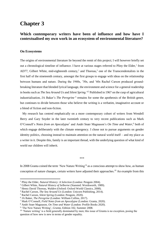# **Chapter 3**

### **Which contemporary writers have been of influence and how have I contextualised my own work in an ecosystem of environmental literature?**

#### **On Ecosystems**

The origins of environmental literature lie beyond the remit of this project; I will however briefly set out a chronological timeline of influence. I have at various stages referred to Pliny the Elder,<sup>1</sup> from AD77, Gilbert White, mid-eighteenth century,<sup>2</sup> and Thoreau,<sup>3</sup> one of the Transcendentalists in the first half of the nineteenth century, amongst the first groups to engage with ideas on the relationship between humans and nature. During the 1940s, '50s, and '60s Rachel Carson produced groundbreaking literature that blended lyrical language, the environment and science for a general readership in books such as *The Sea Around Us* and *Silent Spring.* 4,5 Published in 1967 on the cusp of agricultural industrialisation, JA Baker's *The Peregrine* <sup>6</sup> remains for some the apotheosis of the British genre, but continues to divide between those who believe the writing is a verbatim, imaginative account or a blend of fiction and non-fiction.

 My research has centred emphatically on a more contemporary cohort of writers from Wendell Berry and Gary Snyder in the later twentieth century to very recent publications such as Mark O'Connell's *Notes from an Apocalypse*<sup>7</sup> and Andri Snær Magnason's *On Time and Water*, <sup>8</sup> both of which engage deliberately with the climate emergency. I chose not to pursue arguments on gender identity politics, choosing instead to maintain attention on the natural world itself – and my place as a writer in it. Despite this, family is an important thread, with the underlying question of what kind of world our children will inherit.

\*\*\*

In 2008 Granta coined the term 'New Nature Writing'<sup>9</sup> as a conscious attempt to show how, as human conception of nature changes, certain writers have adjusted their approaches.<sup>10</sup> An example from this

<sup>1</sup> Pliny the Elder, *Natural History: A Selection* (London: Penguin 2004).

<sup>2</sup> Gilbert White, *Natural History of Selborne* (Stansted: Wordsworth, 1989).

<sup>&</sup>lt;sup>3</sup> Henry David Thoreau, *Walden* (Oxford: Oxford World Classics, 2008).

<sup>4</sup> Rachel Carson, *The Sea Around Us* (London: Unicorn Publishing, 2014).

<sup>5</sup> Rachel Carson, *Silent Spring* (London: Penguin, 2020).

<sup>6</sup> JA Baker, *The Peregrine* (London: William Collins, 2017).

<sup>7</sup> Mark O'Connell, *Field Notes from an Apocalypse* (London: Granta, 2020).

<sup>8</sup> Andri Snær Magnason, *On Time and Water* (London: Profile Books 2020).

<sup>&</sup>lt;sup>9</sup> 'The New Nature Writing', *Granta*, Edition 102, Summer 2008.

<sup>&</sup>lt;sup>10</sup> 'Nature writing' is a field generally dominated by men; this issue of Granta is no exception, posing the question of how new is new in terms of gender equality.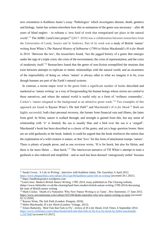new orientation is Kathleen Jamie's essay 'Pathologies' which investigates disease, death, genetics and biology. Jamie has written elsewhere how this re-animation of the genre was necessary – after 40 years of blind neglect – to reframe a 'new kind of work that renegotiated our place in the natural world'.<sup>11</sup> The AHRC *Land Lines* project<sup>12</sup> (2017–2019) was a collaboration between researchers from the Universities of Leeds, Sussex and St Andrews. Part of its work was a study of British 'nature' writing from White's *The Natural History of Selbourne* (1789) to Helen Macdonald's *H is for Hawk* in 2014. 'Between the two', the researchers found, 'lies the jagged history of a genre that emerges under the sign of a triple crisis: the crisis of the environment; the crisis of representation; and the crisis of modernity itself.'<sup>13</sup> Researchers found that the genre of non-fiction exemplified the tensions that exist between attempts to replicate or mimic relationships with the natural world, and an awareness of the impossibility of doing so, where 'nature' is always other to what we imagine it to be, even though humans are part of the Earth's natural systems.

 In contrast, a recent major trend in the genre finds a significant number of books described and marketed as 'nature writing' as a way of foregrounding the human beings whose stories are central to these narratives, and where the natural world is useful only as a form of 'wellness commodity', Cocker's 'nature relegated to the background as an attractive green wash.'<sup>14</sup> Two examples of this approach are found in Raynor Winn's *The Salt Path*<sup>15</sup> and Macdonald's *H is for Hawk.*<sup>16</sup> Both are highly successful; both chart personal recovery, the former from financial ruin and illness, the latter from grief. In Winn, nature is walked through, and strength is gained from this, but any sense of relationship with 'it' is limited; the sea is usually blue and a bird over the sea is a 'seagull'. Macdonald's book has been described as a classic of the genre, and yet a huge question looms: there are no wild goshawks in the book. Indeed, it could be argued that the book reinforces the notion that the exploitation of a wild creature *is* nature, or that 'love' for this form of attachment trumps 'nature'. There is plenty of purple prose, and as one reviewer wrote, 'H is for hawk, but also for Helen, and there is far more Helen … than hawk.'<sup>17</sup> The interwoven narrative of TH White's attempt to train a goshawk is also reduced and simplified – and as such has been deemed 'outrageously unfair' because

<sup>11</sup> Sarah Crown, 'A Life in Writing', interview with Kathleen Jamie, *The Guardian*, 6 April 2012. <https://www.theguardian.com/culture/2012/apr/06/kathleen-jamie-life-in-writing> [accessed 20.1.2021].

<sup>12</sup> https://landlinesproject.wordpress.com

<sup>13</sup>*Land Lines: Modern British Nature Writing, 1789–2014*, essay published on The Clearing website, (https://www.littletoller.co.uk/the-clearing/land-lines-modern-british-nature-writing-1789-2014) discussing the state of British nature writing.

<sup>14</sup> Mark Cocker, 'Death of a Naturalist: Why New Nature Writing is so Tame', *New Statesman*, 17 June 2015. <https://www.newstatesman.com/culture/2015/06/death-naturalist-why-new-nature-writing-so-tame> [accessed 02.12.2020].

<sup>15</sup> Raynor Winn, *The Salt Path* (London: Penguin, 2018).

<sup>16</sup> Helen Macdonald, *H is for Hawk* (London: Vintage, 2015).

<sup>17</sup> Eileen Battersby, 'Bird Tale that Fails to Fly', review of *H is for Hawk*, *Irish Times*, 6 September 2014. [https://www.irishtimes.com/culture/books/bird-tale-that-fails-to-fly-h-is-for-hawk-by-helen-macdonald-](https://www.irishtimes.com/culture/books/bird-tale-that-fails-to-fly-h-is-for-hawk-by-helen-macdonald-1.1917840)[1.1917840](https://www.irishtimes.com/culture/books/bird-tale-that-fails-to-fly-h-is-for-hawk-by-helen-macdonald-1.1917840) [accessed 4.2.2021].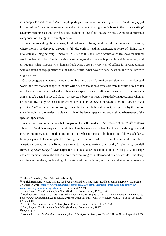it is simply too reductive.<sup>18</sup> An example perhaps of Jamie's 'not serving us well'<sup>19</sup> and the 'jagged history' of the 'crisis' in representation and environment. Placing Winn's book in the 'nature writing' category presupposes that any book set outdoors is therefore 'nature writing'. A more appropriate categorisation, I suggest, is simply memoir.

 Given the escalating climate crisis, I did not want to foreground the self, but to work differently, where memoir is deployed through a fallible, curious leading character, a sense of 'living here intellectually, imaginatively ... morally.'<sup>20</sup> Allied to this, my uses of consolation (to show the natural world as beautiful but fragile), activism (to suggest that change is possible and imperative), and distraction (what happens when humans look away), are a literary way of calling for a renegotiation with our terms of engagement with the natural world: what have we done, what could we do; how we might yet see.

 Cocker suggests that nature memoir is nothing more than a form of consolation in a nature-depleted world, and that the real danger in 'nature writing as consolation distracts us from the truth of our fallen countryside, or – just as bad – that it becomes a space for us to talk about ourselves.<sup> $21$ </sup> Nature, such as it is, is subjugated to second place – or, worse, is barely noticed. The underlying question is whether or indeed how many British nature writers are actually *interested* in nature. Horatio Clare's *Orison for a Curlew*<sup>22</sup> is an account of going in search of a bird believed extinct, except that by the end of this slim volume, the reader has gleaned little of the landscapes visited and nothing whatsoever of the species' appearance.

 In sharp contrast to narratives that foreground the self, Snyder's *The Practice of the Wild*<sup>23</sup> contains a blend of Buddhism, respect for wildlife and environment and a deep fascination with language and mythic traditions. It is a meditation not only on what it means to be human but follows scholarly, literary arguments for concepts like restoring 'the Commons', where, in their lost sense of connection, Americans 'are not actually living here intellectually, imaginatively, or morally.<sup>24</sup> Similarly, Wendell Berry's *Agrarian Essays*<sup>25</sup> have helped me to contextualise the combination of writing self, landscape and environment, where the self is a force for examining both interior and exterior worlds. Like Berry and Snyder therefore, my braiding of literature with consolation, activism and distraction allows me

<sup>&</sup>lt;sup>18</sup> Eileen Battersby, 'Bird Tale that Fails to Fly'.

<sup>19</sup> Patrick Barkham, 'Nature writing has been colonised by white men', Kathleen Jamie interview, *Guardian* 17 October, 2019. [https://www.theguardian.com/books/2019/oct/17/kathleen-jamie-surfacing-interview](https://www.theguardian.com/books/2019/oct/17/kathleen-jamie-surfacing-interview-nature-writing-colonised-by-white-men)[nature-writing-colonised-by-white-men](https://www.theguardian.com/books/2019/oct/17/kathleen-jamie-surfacing-interview-nature-writing-colonised-by-white-men) [accessed 4.2.2021].

<sup>&</sup>lt;sup>20</sup> Gary Snyder, *The Practice of the Wild* (Berkeley: Counterpoint, 1990), p. 43.

<sup>21</sup> Mark Cocker, 'Death of a Naturalist: Why New Nature Writing is so Tame', *New Statesman*, 17 June 2015. <https://www.newstatesman.com/culture/2015/06/death-naturalist-why-new-nature-writing-so-tame> [accessed 02.12.2020]

<sup>22</sup> Horatio Clare, *Orison for a Curlew* (Toller Fratrum, Dorset: Little Toller, 2015).

<sup>&</sup>lt;sup>23</sup> Gary Snyder, *The Practice of the Wild* (Berkeley: Counterpoint, 1990).

<sup>24</sup>Snyder, p. 43.

<sup>25</sup> Wendell Berry, *The Art of the Common-place: The Agrarian Essays of Wendell Berry* (Counterpoint, 2002).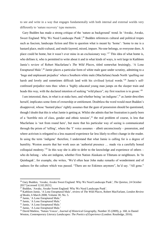to see and write in a way that engages fundamentally with both internal and external worlds very differently to 'nature recovery' type memoirs.

 Gary Budden has made a strong critique of the 'nature as background' trend. In 'Awake, Awake, Sweet England: Why We Need Landscape Punk',<sup>26</sup> Budden references cultural and political tropes such as fascism, landscape fiction and film to question what is meant by 'home': 'home to me is a bastard place, multi-cultural, and multi-layered, mixed, impure. No-one belongs, or everyone does. A place could be home, but it wasn't ever mine in an exclusionary way.'<sup>27</sup> This idea of what home is, who defines it, who is permitted to write about it and in what kinds of ways, is writ large in Kathleen Jamie's review of Robert Macfarlane's *The Wild Places*, titled somewhat bruisingly, 'A Lone Enraptured Male'.<sup>28</sup> Jamie places a particular form of white male gaze under scrutiny, admitting to a 'huge and unpleasant prejudice' when a Southern white male (Macfarlane) heads North 'quelling our harsh and lovely and sometimes difficult land with his civilised lyrical words.'<sup>29</sup> Jamie's selfconfessed prejudice runs thus: when a 'highly educated young man jumps on the sleeper train and heads this way, with the declared intention of seeking "wild places", my first reaction is to groan.'<sup>30</sup>

I am interested, then, in what is at stake here, and whether being 'an indigene',<sup>31</sup> as Jamie describes herself, implicates some form of ownership or entitlement. Doubtless the word would meet Budden's disapproval, whose 'bastard place' rightly assumes that the gaze of possession should be questioned, though I doubt that this is what Jamie is getting at. Whilst she admits that her frustration is partly born of a 'horrible mix of class, gender and ethnic tension', $32$  the real problem of course, is less that Macfarlane is 'not from round here', but more that his particular way of seeing is communicated through the prism of 'telling', where the 'I' voice assumes – albeit unconsciously – possession, and where activism is relegated to a less nuanced experience far less likely to effect change in the reader. In using the term 'indigene' therefore, I understand that what Jamie is calling for is a degree of humility. Weston asserts that her work uses an 'authorial presence … made via a carefully honed colloquial modesty.<sup>33</sup> In this way she is able to defer to the knowledge and experience of others – who do belong – who are indigene, whether First Nation Alaskans or Tibetans or neighbours. In 'In Quinhagak', for example, she writes, 'We'd often hear John make remarks of wonderment and of sadness for the culture which was passed. "There are no Eskimos anymore", he'd say. "All gone."

<sup>26</sup> Gary Budden, 'Awake, Awake Sweet England: Why We Need Landscape Punk', *The Quietus*, 24 October 2017 [accessed 12.02.2021].

<sup>&</sup>lt;sup>27</sup> Budden, 'Awake, Awake Sweet England: Why We Need Landscape Punk'.

<sup>28</sup> Kathleen Jamie, 'A Lone Enraptured Male', review of *The Wild Places*, Robert MacFarlane, *London Review of Books*, 6 March 2008, Volume 30, No. 5.

<sup>&</sup>lt;sup>29</sup> Jamie, 'A Lone Enraptured Male.'

<sup>30</sup> Jamie, 'A Lone Enraptured Male.'

<sup>31</sup> Jamie, 'A Lone Enraptured Male.'

<sup>32</sup> Jamie, 'A Lone Enraptured Male.'

<sup>33</sup> David Matless, 'Nature Voices', *Journal of Historical Geography*, Number 35 (2009), p. 168, in Daniel Weston, *Contemporary Literary Landscapes: The Poetics of Experience* (London: Routledge, 2016).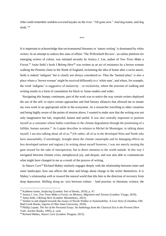John could remember sealskin-covered kayaks on the river. "All gone now." And dog teams, and dog sleds.'<sup>34</sup>

\*\*\*

It is important to acknowledge that environmental literature or 'nature writing' is dominated by white writers. In an attempt to redress this state of affairs 'The Willowherb Review', an online platform for emerging writers of colour, was initiated recently by Jessica J. Lee, author of *Two Trees Make a Forest.*<sup>35</sup> Anita Sethi's book *I Belong Here*<sup>36</sup> was written as an act of resistance by a brown woman walking the Pennine chain in the North of England, reclaiming the idea of home after a racist attack. Sethi is indeed 'indigene' but is clearly not always considered so. Thus the 'bastard place' is also a place where a 'brown woman' might be received differently to a 'white man', and where, for example, the word 'indigene' is suggestive of inclusivity – or exclusivity, where the activism of walking and writing results in a form of consolation for black or Asian readers and wider.

 Navigating this bumpy continuum, part of the work was to notice the way certain writers deployed the use of the self, to reject certain approaches and find literary alliances that allowed me to situate my own work in an appropriate niche in the ecosystem. As a researcher travelling to other countries and being highly aware of the points of tension above, I wanted to make sure that the writing was not only imaginative but fair, respectful, honest and useful. It was also centrally important to position myself as a consumer whose habits contribute to the climate degradation through the positioning of a fallible, human narrator.<sup>37</sup> As Lopate describes in relation to Michel de Montaigne, in talking about myself, I am also talking about all of us.<sup>38</sup> (Or rather, all of us in the developed West and North who have unassailably, if unwittingly, brought about the climate catastrophe and its damaging effects on less developed nations and regions.) In writing about myself however, I was not merely turning the gaze inward for the sake of introspection, but to direct attention to the world outside. In this way I navigated between climate crisis, metaphysical joy, and despair, and was also able to communicate what might have changed in me as a result of the process of writing.

 In *Nature Cure*<sup>39</sup> Richard Mabey similarly engages deeply with the relationship between inner and outer landscapes: how one affects the other and brings about change in the writer themselves. It is Mabey's relationship *with* or *toward* the natural world that tilts him in the direction of recovery from deep depression. Shifting along an 'axis between culture – land practise, or literature, science, the

<sup>34</sup> Kathleen Jamie, *Surfacing* (London: Sort of Books, 2019), p. 47.

<sup>35</sup> Jessica J. Lee, *Two Trees Make a Forest; on Memory, Migration and Taiwan* (London: Virago, 2019).

<sup>36</sup> Anita Sethi, *I Belong Here* (London: Bloomsbury, 2021).

<sup>37</sup> Similar to and aligned towards the essays of Nicole Walker in *Sustainability: A Love Story* (Columbus, OH: Mad Creek Books, imprint of Ohio State University, 2018).

<sup>38</sup> Phillip Lopate, *The Art of the Personal Essay: An Anthology from the Classical Era to the Present* (New York: Anchor Books, 1995), p. xxiii.

<sup>39</sup> Richard Mabey, *Nature Cure* (London: Penguin, 2015).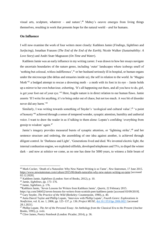visual arts, sculpture, whatever – and nature', $40$  Mabey's oeuvre emerges from living things themselves, resulting in work that presents hope for the natural world – *and* for humans.

#### **On Influence**

I will now examine the work of four writers more closely: Kathleen Jamie (*Findings*, *Sightlines* and *Surfacing*); Jonathan Franzen (*The End of the End of the Earth*); Nicole Walker (*Sustainability: A Love Story*) and Andri Snær Magnason (*On Time and Water*).

 Kathleen Jamie was an early influence in my writing career. I was drawn to how her essays navigate the uncertain boundaries of the nature genre, including 'outer' landscapes where icebergs smell of 'nothing but colossal, witless indifference',<sup>41</sup> or her husband seriously ill in hospital, or human organs under the microscope (the deltas and estuaries inside us), the self in relation to the world. In 'Magpie Moth<sup> $142$ </sup> a bodged attempt to rescue a drowning moth – a moth with its foot in its eye – Jamie holds up a mirror to her own behaviour, exhorting, 'It's all happening out there, and all you have to do, girl, is get your foot out of your eye.<sup>'43</sup> Here, fragile nature is in direct relation to our human flaws. Jamie asserts 'If I write for anything, it's to bring order out of chaos, but not too much. A wee bit of disorder never did any harm.'<sup>44</sup>

 Similarly, I was writing towards something of Snyder's 'ecological and cultural value',<sup>45</sup> 'a point of honesty'<sup>46</sup> achieved through a sense of tempered wonder, synaptic attention, humility and authorial voice. I want to draw the reader in as if talking to them alone: Lopate's confiding 'everything from gossip to wisdom' again.<sup>47</sup>

Jamie's imagery provides measured bursts of synaptic attention, or 'lightning strike',<sup>48</sup> and her sentence structure and ordering, the assembling of one idea against another, is achieved through diligent control. In 'Darkness and Light', 'Generations lived and died. We invented electric light, the internal combustion engine, we exploited oilfields, developed telephones and TVs, to dispel the winter dark – and now at solstice we come, as no one has done for 5000 years, to witness a little beam of

<sup>40</sup> Mark Cocker, 'Death of a Naturalist: Why New Nature Writing is so Tame', *New Statesman*, 17 June 2015. <https://www.newstatesman.com/culture/2015/06/death-naturalist-why-new-nature-writing-so-tame> [accessed 02.12.2020].

<sup>41</sup> Kathleen Jamie, *Sightlines* (London: Sort of Books, 2012), p. 10.

<sup>42</sup> Jamie, *Sightlines*, pp. 173–176.

<sup>43</sup> Jamie, *Sightlines*, p. 176.

<sup>44</sup>Kathleen Jamie, 'Seven Lessons for Writers from Kathleen Jamie', *Quartz*, 22 February 2015. <https://qz.com/346452/seven-lessons-for-writers-from-scottish-poet-kathleen-jamie> [accessed 03/09/2019].

<sup>45</sup> Gary Snyder, *The Practice of the Wild* (Berkeley: Counterpoint, 1990), p. 40.

<sup>46</sup> Anita Darcel Taylor and Phillip Lopate, 'Interview with Phillip Lopate', *Fourth Genre: Explorations in Nonfiction*, vol. 8, no. 1, 2006, pp. 125–137, p. 136. *Project MUSE*, [doi:10.1353/fge.2006.0021](http://doi.org/10.1353/fge.2006.0021) [accessed 28.1.2021].

<sup>47</sup> Phillip Lopate, *The Art of the Personal Essay: An Anthology from the Classical Era to the Present* (Anchor Books, 1995), p. xviii.

<sup>48</sup> Clive James, *Poetry Notebook* (London: Picador, 2014), p. 36.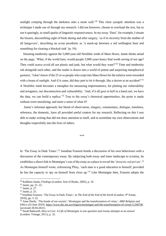sunlight creeping through the darkness onto a stone wall.<sup>'49</sup> This close synaptic attention was a technique I made use of through my research. I did not however, choose to overload the text, but to use it sparingly, as small sparks of linguistic responsiveness. In my essay 'Dust', for example, I situate the bizarre, discomfiting sight of birds during and after surgery, 'as if in recovery from the mother of all hangovers', describing an avian prosthetic as 'a mash-up between a red wellington boot and something for clearing a blocked sink' (p. 54).

 Situating modernity against the 5,000-year-old Neolithic tomb of Maes Howe, Jamie thinks aloud on the page, 'What, if the world lasts, would people 5,000 years hence find worth saving of our age? They could scarce avoid all our plastic and junk, but what would they want?<sup>50</sup> Time and modernity rub alongside each other, and the reader is drawn into a world of potent and surprising metaphorical gestures. 'I don't know if the 25 or so people who crept into Maes Howe for the solstice were rewarded with a beam of sunlight. And if it came, did they part to let it through, like a doctor at an accident?'<sup>51</sup> A Neolithic tomb becomes a metaphor for measuring impermanence, for plotting our vulnerability and arrogance, our disconnection and vulnerability. 'And, if it all goes to hell in a hand cart, we have the data, we can build a replica.'<sup>52</sup> True to the essay's rhetorical opportunities, the point is made without overt moralising, and more a sense of what if?

 Jamie's informal approach, her blend of observation, imagery, commentary, dialogue, timelines, reference, the domestic, have all provided useful context for my research. Reflecting on this I was able to make writing that did not draw attention to itself, and to assimilate my own observations and thoughts respectfully into the lives of others.

\*\*\*

In 'The Essay in Dark Times',<sup>53</sup> Jonathan Franzen braids a discussion of his own behaviours with a discussion of the contemporary essay. By subjecting both essay and inner landscape to scrutiny, he establishes a direct link to Montaigne's use of the essay as a place to reveal the 'domestic and private'.<sup>54</sup> As Montaigne himself wrote, referencing Pliny, 'each man is a good education to himself, provided he has the capacity to spy on himself from close up.'<sup>55</sup> Like Montaigne then, Franzen adopts the

<sup>49</sup> Kathleen Jamie, *Findings* (London: Sort of Books, 2005), p. 16.

<sup>50</sup> Jamie, pp. 21–22.

<sup>51</sup> Jamie, p. 27.

<sup>52</sup> Jamie, p. 25.

<sup>53</sup> Jonathan Franzen, 'The Essay in Dark Times', in *The End of the End of the Earth* (London: 4th Estate, 2018), pp. 3–22.

<sup>54</sup> Anne Hartle, 'The bonds of our society': Montaigne and the transformation of virtue', *ABD Religion and Ethics* (24 June 2019)[. https://www.abc.net.au/religion/montaigne-and-the-transformation-of-virtue/11240746](https://www.abc.net.au/religion/montaigne-and-the-transformation-of-virtue/11240746) [accessed 28.04.2021].

<sup>55</sup> Sarah Bakewell, *How to Live: A Life of Montaigne in one question and twenty attempts at an answer* (London: Vintage, 2011), p. 32.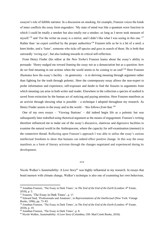essayist's role of fallible narrator. In a discussion on smoking, for example, Franzen voices the kinds of inner conflicts the essay form engenders: 'My state of mind was like a quantum wave function in which I could be totally a smoker but also totally not a smoker, so long as I never took measure of myself.'<sup>56</sup> and 'For the writer an essay is a mirror, and I didn't like what I was seeing in this one.'<sup>57</sup> Rather than 'an expert certified by the proper authorities'<sup>58</sup> Franzen tells us he is a bit of a nerd; a keen birder, *and* a 'lister', someone who ticks off species and goes in search of them. He is both that outwardly 'roving eye', but also looking inwards in critical self-reflection.

 From Henry Finder (his editor at the *New Yorker*) Franzen learns about the essay's ability to persuade: 'Henry nudged me toward framing the essay not as a denunciation but as a question: how do we find meaning in our actions when the world seems to be coming to an end?'<sup>59</sup> Here Franzen illustrates how the essay's facility – its generosity – is in deriving meaning through argument rather than fighting for the truth through polemic. Here the contemporary essay allows the non-expert to probe information and experience, self-exposure and doubt to find the fissures in arguments from which meaning can arise in both writer and reader. Elsewhere in the collection a species of seabird is saved from extinction by the human act of noticing and paying attention. Here Franzen manifests as an activist through showing what is possible – a technique I adopted throughout my research. As Henry Finder asserts in the essay and in the world – 'this follows *from* that.'<sup>60</sup>

 One of my own essays – 'Viewing Stations' – did indeed begin life as a polemic but was subsequently later redrafted using rhetorical argument as the means of engagement. Franzen's writing therefore influenced me to make use of the essay's discursive, slantwise and digressive facilities to examine the natural world in the Anthropocene, where the capacity for self-examination (memoir) is the connective thread. Reflecting upon Franzen's approach I was able to utilise the essay's curious intellectual freedoms to show that humans can indeed effect positive change. In this way the essay manifests as a form of literary activism through the changes negotiated and experienced during its development.

\*\*\*

Nicole Walker's *Sustainability: A Love Story*<sup>61</sup> was highly influential in my research*.* In essays that braid memoir with climate change, Walker's technique is also one of examining her own behaviour,

<sup>&</sup>lt;sup>56</sup> Jonathan Franzen, 'The Essay in Dark Times', in *The End of the End of the Earth* (London: 4<sup>th</sup> Estate, 2018), p. 5.

<sup>57</sup> Franzen, 'The Essay in Dark Times', p. 17.

<sup>58</sup> Edward Said, 'Professionals and Amateurs', in *Representations of the Intellectual* (New York: Vintage Books, 1996), pp. 73–83.

<sup>&</sup>lt;sup>59</sup> Jonathan Franzen, 'The Essay in Dark Times', in *The End of the End of the Earth* (London: 4<sup>th</sup> Estate, 2018), p. 19.

<sup>60</sup> Jonathan Franzen, 'The Essay in Dark Times', p. 8.

<sup>61</sup> Nicole Walker, *Sustainability: A Love Story* (Columbus, OH: Mad Creek Books, 2018).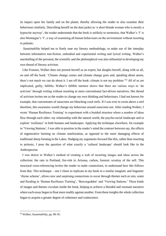its impact upon her family and on the planet, thereby allowing the reader to also examine their behaviours similarly. Describing herself on the dust jacket as 'a short blonde woman who is mostly a hypocrite anyway', the reader understands that the book is unlikely to sermonise, that Walker's 'I' is also Montaigne's 'I', a way of examining all human behaviours on the environment without resorting to polemic.

 *Sustainability* helped me to finely tune my literary methodology, to make use of the interplay between informative non-fiction, embodied and experiential writing and lyrical writing. Walker's marshalling of the personal, the scientific and the philosophical was also influential in developing my own thread of literary activism.

 Like Franzen, Walker does not present herself as an expert, but dangles herself, along with us all, on and off the hook. 'Climate change comes and climate change goes and, speaking about aeons, there's not much we can do about it. I am off the hook: climate is not my problem.'<sup>62</sup> All of us are implicated, guilty, fallible; Walker's fallible narrator shows that there are various ways to 'do activism' through writing without resorting to more conventional fact-driven narratives. Her thread of activism invites me as the reader to change my own thinking and behaviours. I had not known for example, that concentrates of sunscreen are bleaching coral reefs. If I was ever to swim above a reef therefore, this awareness would change my behaviour around sunscreen use. After reading Walker, I wrote 'Human Resilience Training' to experiment with a braided structure where a number of ideas flow through each other: my relationship with the natural world, the psycho-social landscape and to explore 'resilience' in both humans and landscapes. Applying the technique elsewhere, for example in 'Viewing Stations', I was able to position in the reader's mind the contrast between say, the effects of regenerative farming on climate amelioration, as opposed to the more damaging effects of traditional sheep farming in the Lakes. Nudging my arguments forward like this, rather than resorting to polemic, I pose the question of what exactly a 'cultural landscape' *should* look like in the Anthropocene.

 I was drawn to Walker's method of creating a web of recurring images and ideas across the collection: the rain in Portland, fire-risk in Arizona, carbon, forensic scrutiny of the self. This structural cross-referencing invites the reader to make connections, to understand how this follows from that. This technique – one I chose to replicate in my book in a similar imagistic and linguistic 'rhyme scheme', allows new and surprising connections to occur through themes such as rain, water and flooding in 'Human Resilience Training', 'Beavergeddon' and 'Viewing Stations.' These kinds of images and themes circulate inside the book, helping to achieve a blended and resonant narrative where each essay began to float more readily against another. From these insights the whole collection began to acquire a greater degree of coherence and coalescence.

<sup>62</sup> Walker, *Sustainability*, pp. 80–81.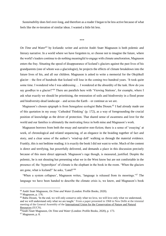*Sustainability* does feel over-long, and therefore as a reader I began to be less active because of what feels like the re-iteration of similar ideas. I wanted a little bit less.

```
***
```
*On Time and Water*<sup>63</sup> by Icelandic writer and activist Andri Snær Magnason is both polemic and literary narrative. In a world where we have forgotten to, or choose not to imagine the future, where the world's leaders continue to do nothing meaningful to engage with climate amelioration, Magnason enters the fray. Situating the speed of disappearance of Iceland's glaciers against the past lives of his grandparents (one of whom was a glaciologist), he projects the effects of climate breakdown into the future lives of his, and all our children. Magnason is asked to write a memorial for the Oksjökull glacier – the first of hundreds that Iceland will lose in the coming two hundred years. 'It took quite some time. I wondered who I was addressing … I wondered at the absurdity of the task. How do you say goodbye to a glacier?'<sup>64</sup> There are parallels here with 'Viewing Stations', for example, where I ask what exactly we should be prioritising, the restoration of soils and biodiversity in a flood prone and biodiversity-dead landscape – and across the Earth – or continue as we are.

 Magnason's chosen epigraph is from Senegalese ecologist Baba Dioum.<sup>65</sup> I had already made use of this quotation in my essay 'Cathedral Thinking' (p. 172), as a way of foregrounding the crucial position of knowledge as the driver of protection. That shared sense of awareness and love for the world and our families is ultimately the motivating force in both mine and Magnason's work.

 Magnason borrows from both the essay and narrative non-fiction; there is a sense of 'essaying' at work, of chronological and related sequencing, of an elegance in the braiding together of fact and story, and a clear sense of the author's 'wind-up doll' walking us through the material evidence. Frankly, this is not bedtime reading; it is exactly the book I did not want to write. Much of the content is direct and terrifying, but powerfully delivered, and demands a place in this discussion precisely because of this more direct approach. Magnason's rage though, is measured, justified. Despite the polemic, he is not shouting but presenting what we in the West know but are not comfortable in the presence of; the 'hyperobject' of climate is the elephant in the book in the room. 'When the glaciers are gone, what is Iceland?' he asks, 'Land?'<sup>66</sup>

 'When a system collapses', Magnason writes, 'language is released from its moorings.'<sup>67</sup> The language we have been handed to describe the climate crisis is, we know, and Magnason's book

 $\overline{\phantom{a}}$ 

<sup>67</sup> Magnason, p. 8.

<sup>63</sup> Andri Snær Magnason, *On Time and Water* (London: Profile Books, 2020).

<sup>64</sup> Magnason, p. 176.

<sup>&</sup>lt;sup>65</sup> Baba Dioum, 'In the end, we will only conserve only what we love, we will love only what we understand, and we will understand only what we are taught.' From a paper presented in 1968 in New Delhi at the triennial meeting of the General Assembly of the [International Union for the Conservation of Nature and Natural](https://en.wikipedia.org/wiki/International_Union_for_the_Conservation_of_Nature_and_Natural_Resources)  [Resources](https://en.wikipedia.org/wiki/International_Union_for_the_Conservation_of_Nature_and_Natural_Resources) (IUCN).

<sup>66</sup>Andri Snær Magnason, *On Time and Water* (London: Profile Books, 2020), p. 173.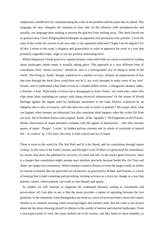emphasises, insufficient for communicating the scale of the problem and the tasks that lie ahead. This language, he says, relegates the situation to fairy tale. In this dilution, both metaphorically and actually, our language does nothing to prevent the glaciers from melting away. This book forced me to question how I have foregrounded techniques of argument and persuasion over polemic. Given the state of the world, the activist in me now asks, is my approach sufficient? Ought I not be angrier? For all this, I return to the essay's elegance and generosities in order to approach the work in a way that primarily engenders hope; anger is not my primary motivating force.

 Whilst Magnason's book poses love against despair, mine infers that we can be consoled by reading about landscapes where repair is actually taking place. This approach is a very different form of consolation from 'nature recovery' narratives, and is a reinvigorated way of being at home in the world. This being at 'home' though, manifests in a number of ways. Despite an undercurrent of fear that runs through the book (how could there not be?), my work attempts to make sense of my sons' futures, and to understand what home is/was to a slender-billed curlew, a Hungarian meadow adder, a forester, a bear. What kinds of forces have disengaged us from 'home', my work asks, when film clips show birds exploding on contact with cheap electrical infrastructure? Or the veneer of World Heritage against the urgent need for landscape restoration in the Lake District, witnessed by an indigene who is also an essayist, and who does not want to resort to polemic? My essays show what can happen when humans are distracted, but also constitute what happens when the scales fall from our eyes. Set in Northern Greece (the original 'home' of the 'agrapha'), '80 Fragments on the Pelican' blends observation of super-abundant wetlands with the agents of destruction – who later become agents of repair. 'Prespa', I write, 'its hidden pelican colonies and its whole of cavalcade of natural life – is a mirror' (p. 118); here, the essay is both exposé and act of repair.

There is room in the world for *The Salt Path* and *H is for Hawk*, and for consolation through nature writing. At this time in the Earth's history and through Covid-19 there is a great need for consolation, for stories that show the potential for recovery of world and self. In the nature genre however, there is a danger that consolation might assume apex position precisely because books like *On Time and Water* are simply not consolatory. Where memoir is used to distract us from the larger world, its ability to console is limited. But my particular use of memoir, as practised by Walker and Franzen, is a form of looking that is both consoling and provoking, inviting activism as a force for change in a way that polemic cannot, where polemic can crush us into despair and apathy.

 As readers we will continue to negotiate the continuum between writing as consolation and provocation; all I am able to say is that the essay provides a means of operating between the two positions. In the meantime, what distinguishes my book as a force of activism from a more self-centric memoir is to continue noticing where essaying begins and memoir ends, that the work is not always about me but about showing myself in relation to the worlds of interior and exterior landscapes. From a non-expert point of view, the essay enables me to be curious, and like Jamie to show humility, to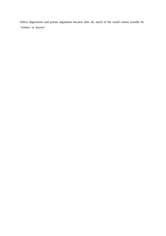follow digressions and pursue arguments because after all, much of the world cannot actually be 'written' or 'known'.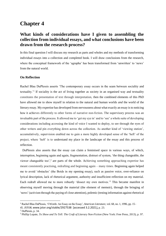# **Chapter 4**

### **What kinds of considerations have I given to assembling the collection from individual essays, and what conclusions have been drawn from the research process?**

In this final question I will discuss my research as parts and wholes and my methods of transforming individual essays into a collection and completed book. I will draw conclusions from the research, where the conceptual framework of the 'agrapha' has been transformed from 'unwritten' to 'news' from the natural world.

#### **On Reflection**

Rachel Blau DuPlessis asserts 'The contemporary essay occurs in the seam between sociality and textuality.<sup>1</sup> If sociality is the act of living together as society in an organised way and textuality constitutes the presentation of text through interpretation, then the combined elements of this PhD have allowed me to show myself in relation to the natural and human worlds *and* the world of the literary essay. My expertise has developed from nervousness about what exactly an essay is to noticing how it achieves differently to other forms of narrative non-fiction. The supervisory process was an invaluable part of the process. It allowed me to 'get my eye in' and to 'see' a whole suite of developing considerations including accessing the kind of voice I wanted to deploy, to see through the eyes of other writers and pin everything down across the collection. As another kind of 'viewing station', accumulatively, supervision enabled me to gain a more highly developed sense of the 'heft' of the project, where 'heft' is to understand my place in the landscape of the essay and this process of reflection.

 DuPlessis also asserts that the essay can claim a feminised space in various ways, of which, interruption, beginning again and again, fragmentation, distrust of system, 'the thing changeable, the viewer changeable too',<sup>2</sup> are parts of the whole. Achieving something approaching expertise has meant consistently practising, redrafting and beginning again – many times. Beginning again helped me to avoid 'obstacles' (the Boids in my opening essay), such as passive voice, over-reliance on lyrical description, lack of rhetorical argument, authority and insufficient reflection on my material. Each redraft allowed me to more robustly 'dissect my own motives.'<sup>3</sup> This became manifest in observing myself moving through the material (the element of memoir), through the bringing of 'news' (activism through the paying of close attention), polemic (testing information against rhetorical

<sup>1</sup> Rachel Blau DuPlessis, 'f-Words: An Essay on the Essay', *American Literature*, vol. 68, no. 1, 1996, pp. 15– 45. *JSTOR*, www.jstor.org/stable/2927538 [accessed 3.2.2021], p. 23.

<sup>2</sup> DuPlessis, p. 34.

<sup>3</sup> Phillip Lopate, *To Show and To Tell: The Craft of Literary Non-Fiction* (New York: Free Press, 2013), p. 97.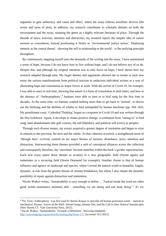argument to gain authority), and cause and effect, where the essay follows novelistic devices (the twists and turns of plot). In addition, my research contributes to scholarly debates on both the environment and the essay, situating the genre as a highly relevant literature of place. Through the threads of news, activism, attention and distraction, my research rejects the simpler idea of nature memoir as consolation, instead positioning it firmly as 'environmental justice action'. Deploying memoir as the central thread – showing the self in relationship to the world – is the unifying principle throughout.

 By continuously mapping myself onto the demands of the writing and the essay, I have maintained a sense of hope, because I do not know how to live without hope, and I do not believe any of us do. Despite this, and although my original intention was to only focus on hope, I have shown how my research adapted through time. My larger themes and arguments allowed me to restate in each new essay the various manifestations from political inaction to audacious individual actions as a way of illustrating hope and consolation as major forces at work. With the arrival of Covid-19, for example, I was able to react in real time, showing that nature *is* a form of consolation in dark times, and how in the absence of 'Anthropophony',<sup>4</sup> humans were able to tune in to bird song for the first time in decades. At the same time, we humans wanted nothing more than to get back to 'normal', to drown out the birdsong and the abilities of whales to feed unimpeded by human machines (pp. 164–165). My penultimate essay 'Cathedral Thinking' began as a response to Covid-19 and was written through the first lockdown. Again, it develops to situate positive change: a continuum from 'tuning-in' to bird song, land abandonment (the golf course), the self (Hatidze), and political will (rivers as people).

 Through such diverse means, my essays acquired a greater degree of resolution and began to exist in relation to the previous, the next and the whole. As that cohesion occurred, a strengthened sense of 'through lines' evolved, centred on my major themes of memoir, abundance, news, attention and distraction. Interweaving those themes provided a web of conceptual alliances across the collection and consequently therefore, the 'unwritten' became manifest within the book's greater superstructure. Each new essay opens those themes to scrutiny in a new geographic field (rhyme again) and sometimes in a recurring field (Storm Desmond for example). Another rhyme is that of human influence and agency on landscape and species, where I reveal the natural world as beautiful, fragile, dynamic, at risk from the greater threats of climate breakdown, but where I also situate the dynamic possibility of repair against distraction and inattention.

 Nicole Walker writes, 'Sustainability is easy enough to define … Tucked inside the word are other good words: sustenance, maintain, able – something we are doing and can keep doing.'<sup>5</sup> As my

<sup>4</sup> The Term 'Anthrophony' was first used by Bernie Krause to describe all human generated sound – natural or mechanical. Krause, *Voices of the Wild: Animal Songs, Human Din, and the Call to Save Natural Soundscapes* (New Haven CT: Yale University Press, 2015).

<sup>5</sup> Nicole Walker, 'Sustainability: Towards a Definition', *Waxwing* (undated). <http://waxwingmag.org/archive/03/writing.php?item=117> [accessed 19.2.2021].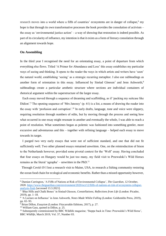research moves into a world where a fifth of countries' ecosystems are in danger of collapse,<sup>6</sup> my hope is that through its own transformative processes the book provides the consolation of activism – the essay as 'environmental justice action' – a way of showing that restoration is indeed possible. As part of its circularity of influence, my intention is that it exists as a form of literary consolation through an alignment towards hope.

#### **On Assembling**

In the third year I recognised the need for an orientating essay, a point of departure from which everything else flows. Titled 'A Primer for Abundance and Loss' this essay establishes my particular ways of seeing and thinking. It opens to the reader the ways in which artists and writers have 'seen' the natural world, establishing 'seeing' as a strategic recurring metaphor. I also use subheadings as another form of orientation in this essay. Influenced by Sinéad Gleeson<sup>7</sup> and Jenn Ashworth,<sup>8</sup> subheadings create a particular aesthetic structure where sections are individual containers of rhetorical argument within the superstructure of the larger essay.

 Each essay moved through a sequence of dreaming and scaffolding, as if 'packing my suitcase like Didion'.<sup>9</sup> The opening sequence of 'Mrs Janossy' (p. 61) is a list, a means of drawing the reader into the essay with 'profusion and corruption'.<sup>10</sup> In early drafts, language, tone and voice were slippery, requiring resolution through numbers of edits, but by moving through the process and seeing how what occurred in one essay might resonate in another and eventually the whole, I was able to reach a point of resolution. What sometimes began as polemic was fashioned into something gentler, more excursive and adventurous and this – together with refining language – helped each essay to move towards its target.

 I purged two very early essays that were not of sufficient standard, and one that did not fit sufficiently well. Two other planned essays remained unwritten. One, on the reintroduction of bison to the Netherlands however, provided some pivotal context for the 'Wolf' essay. Having concluded that four essays on Hungary would be just too many, my field visit to Przewalski's Wild Horses remains as the literal 'agrapha' – unwritten in the PhD.<sup>11</sup>

 Through Covid-19 I lost a research visit to Maine, USA, to research a fishing community restoring the ocean food chain for ecological and economic benefits. Rather than a missed opportunity however,

<sup>6</sup> Damian Carrington, 'A Fifth of Nations at Risk of Environmental Collapse', *The Guardian*, 12 October, 2020. [https://www.theguardian.com/environment/2020/oct/12/fifth-of-nations-at-risk-of-ecosystem-collapse](https://www.theguardian.com/environment/2020/oct/12/fifth-of-nations-at-risk-of-ecosystem-collapse-analysis-finds)[analysis-finds](https://www.theguardian.com/environment/2020/oct/12/fifth-of-nations-at-risk-of-ecosystem-collapse-analysis-finds) [accessed 13.3.2021].

<sup>7</sup> 'Blue Hills and Chalk Bones' in Sinéad Gleeson, *Constellations; Reflections from Life* (London: Picador, 2019), pp. 1–18.

<sup>8</sup> 'A Lecture on Influence' in Jenn Ashworth, *Notes Made Whilst Falling* (London: Goldsmiths Press, 2019), pp. 65–93.

<sup>9</sup> Brian Dillon, *Essayism* (London: Fitzcarraldo Editions, 2017), p. 27.

<sup>10</sup> William Gass, quoted in Dillon, p. 25.

<sup>11</sup> Subsequently commissioned by BBC Wildlife magazine; 'Steppe back in Time: Przewalski's Wild Horse', BBC *Wildlife*, March 2019, Vol. 37, Number 03.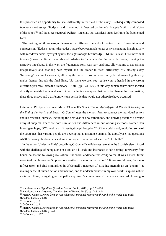this presented an opportunity to 'see' differently in the field of the essay. I subsequently composed two very short essays, 'Ecdysis' and 'Incoming', influenced by Jamie's 'Magpie Moth'<sup>12</sup> and 'Voice of the Wood'<sup>13</sup> and I also restructured 'Pelican' (an essay that was dead on its feet) into the fragmented form.

 The writing of those essays demanded a different method of control: that of concision and compression. 'Ecdysis' grants the reader a pause between much longer essays, engaging imaginatively with meadow adders' eyesight against the sights of agri-business (p. 136). In 'Pelican' I use individual images (theses), cultural materials and ordering to focus attention in particular ways, drawing the narrative into shape. In this way, the fragmented form was very enabling, allowing me to experiment imaginatively and enabling both myself and the reader to 'see' differently. My closing essay 'Incoming' is a quieter moment, allowing the book to close on uncertainty, but drawing together my major themes through the final lines, 'So there we are; you realise you're headed in the wrong direction, you recalibrate the trajectory….' etc. (pp. 178–179). In this way human behaviour is located directly alongside the natural world in a concluding metaphor that calls for change. In combination, these three essays add a different written aesthetic that would not otherwise have occurred.

Late in the PhD process I read Mark O'Connell's *Notes from an Apocalypse: A Personal Journey to the End of the World and Back.*<sup>14</sup> O'Connell uses the memoir form to connect the individual essays and his research journeys, including the first year of new fatherhood, and drawing together a diverse array of subjects. There are both similarities and differences in our working methods. Rather than investigate hope, O'Connell is an 'investigative philosopher'<sup>15</sup> of the world's end, exploring some of the strategies that various people are developing as insurance against the apocalypse. He questions whether having children is 'a statement of hope ... or an act of sacrifice?' Or both?<sup>16</sup>

In the essay 'Under the Hide' describing O'Connell's wilderness retreat in the Scottish glen,<sup>17</sup> faced with the challenge of being alone in a tent on a hillside and instructed to 'do nothing' for twenty-four hours, he has the following realisation: 'the word landscape felt *wrong* to me. It was a visual term' more to do with how we 'imposed our aesthetic categories on nature.'<sup>18</sup> It was useful then, for me to reflect upon and find similarities in O'Connell's methods of situating memoir as an 'attempt' at making sense of human action and inaction, and to understand how in my own work I explore nature as its own thing, navigating a clear path away from 'nature recovery' memoir and instead choosing to

<sup>12</sup> Kathleen Jamie, *Sightlines* (London: Sort of Books, 2012), pp. 173–176.

<sup>&</sup>lt;sup>13</sup> Kathleen Jamie, *Surfacing* (London: Sort of Books, 2019), pp. 243–245.

<sup>14</sup> Mark O'Connell, *Notes from an Apocalypse: A Personal Journey to the End of the World and Back* (London: Granta, 2020).

<sup>15</sup> O'Connell, p. 83.

<sup>16</sup> O'Connell, p. 241.

<sup>17</sup> Mark O'Connell, *Notes from an Apocalypse: A Personal Journey to the End of the World and Back* (London: Granta, 2020), p. 241.

<sup>18</sup> O'Connell, p. 177.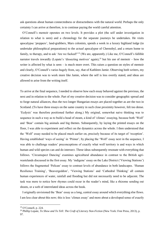ask questions about human connectedness or distractedness with the natural world. Perhaps the only certainty I can arrive at therefore, is to continue paying the world careful attention.

 O'Connell's memoir operates on two levels. It provides a plot (the self under investigation in relation to what is seen) and a chronology for the separate journeys he undertakes. He visits apocalypse 'preppers', land-grabbers, Mars colonists, spends a week in a luxury highland lodge (to undertake philosophical preparations) to the *actual* apocalypse of Chernobyl, and a return home to family, to therapy, and to ask 'Are we fucked?'<sup>19</sup> (We are, apparently.) Like me, O'Connell's fallible narrator travels inwardly (Lopate's 'dissecting motives' again),<sup>20</sup> but his use of memoir – how the writer is affected by what is seen – is much more overt. This raises a question on styles of memoir and clearly, O'Connell's varies hugely from, say, that of Kathleen Jamie. Observing both writers, my creative decision was to work more like Jamie, where the self is less overtly stated, and ideas are allowed to arise from the writing itself.

To arrive at the final sequence, I needed to observe how each essay behaved against the previous, the next and in relation to the whole. Part of my creative decision was to consider geographic spread and to forge natural alliances, thus the two longer Hungarian essays are placed together as are the two in Scotland. (To have three essays on the same country in such close proximity however, felt too dense. 'Ecdysis' was therefore positioned further along.) My original, somewhat naive thinking was to sequence in such a way as to build a head of steam, a kind of 'climax' essaying, because both 'Wolf' and 'Bear' contain big animals and big themes. Subsequently, by laying the printed essays on the floor, I was able to experiment and reflect on the dynamics across the whole. I then understood that the 'Wolf' essay needed to be placed much earlier on, precisely because of its target of 'reception'. Having established 'ways of seeing' in 'Primer', by placing the 'Wolf' essay next in the sequence, I was able to challenge readers' preconceptions of exactly what wolf territory is and ways in which human and wild species can and do intersect. These ideas subsequently resonate with everything that follows. 'Circumspect Dancing' examines agricultural abundance in contrast to the British agriwastelands discussed in the first essay. My 'indigene' essay on the Lake District ('Viewing Stations') follows the fragmented 'Pelican' essay to contrast levels of abundance in both landscapes. 'Human Resilience Training', 'Beavergeddon', 'Viewing Stations' and 'Cathedral Thinking' all contain human experiences of water, rainfall and flooding but did not necessarily need to be adjacent. The task was more to notice how rhymes could recur in the reader's mind, like a rhizome sending out shoots, or a web of interrelated ideas across the book.

 I originally envisioned the 'Bear' essay as a long, central essay around which everything else flows. I am less clear about this now; this is less 'climax essay' and more about a developed sense of exactly

<sup>19</sup> O'Connell, p. 224.

<sup>20</sup> Phillip Lopate, *To Show and To Tell: The Craft of Literary Non-Fiction* (New York: Free Press, 2013), p. 97.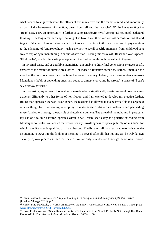what needed to align with what, the effects of this in my own and the reader's mind, and importantly as part of the framework of attention, distraction, self and the 'agrapha'. Whilst I was writing the 'Bear' essay I saw an opportunity to further develop Hansjoerg Wyss' conceptual notion of 'cathedral thinking' – or long-term landscape thinking. The two essays therefore coexist because of this shared target. 'Cathedral Thinking' also enabled me to react in real time to the pandemic, and to pay attention to the silencing of 'anthropophony', using memoir to recall specific moments from childhood as a way of exploring human 'tuning in or out' of attention. Closing this essay with Roseanne Watt's poem, 'Flightpaths', enables the writing to segue into the final essay through the subject of geese.

 In my final essay, and as a fallible memoirist, I am unable to draw final conclusions or give specific answers to the matter of climate breakdown – or indeed alternative scenarios. Rather, I maintain the idea that the only conclusion is to continue the sense of enquiry. Indeed, my closing sentence invokes Montaigne's habit of appending uncertain codas to almost everything he wrote, $21$  a sense of 'I can't say or know for sure.'

 In conclusion, my research has enabled me to develop a significantly greater sense of how the essay achieves differently to other forms of non-fiction, and I am excited to develop my practice further. Rather than approach the work as an expert, the research has allowed me to be myself 'in the largeness of something else', $^{22}$  observing, attempting to make sense of discordant materials and persuading myself and others through the pursuit of rhetorical argument. The thread of memoir, and in particular my use of a fallible narrator, operates within a well-established essayistic practice extending from Montaigne to Foster Wallace ('One reason for my unwillingness to speak publicly on a subject for which I am direly underqualified ...' $)^{23}$  and beyond. Finally, then, all I am really able to do is to make an attempt, to *essai* into the finding of meaning. To reveal, after all, that nothing can be truly known – except my own processes – and that they in turn, can only be understood through the act of reflection.

<sup>21</sup> Sarah Bakewell, *How to Live: A Life of Montaigne in one question and twenty attempts at an answer* (London: Vintage, 2011), p. 51.

<sup>22</sup> Rachel Blau DuPlessis, 'f-Words: An Essay on the Essay', *American Literature*, vol. 68, no. 1, 1996, p. 32. [www.jstor.org/stable/2927538 \[accessed 3.2.2021\]](http://www.jstor.org/stable/2927538%20%5baccessed%203.2.2021).

<sup>&</sup>lt;sup>23</sup> David Foster Wallace, 'Some Remarks on Kafka's Funniness from Which Probably Not Enough Has Been Removed', in *Consider the Lobster* (London: Abacus, 2005), p. 60.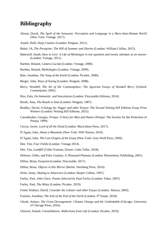# **Bibliography**

- Abram, David, *The Spell of the Sensuous: Perception and Language in a More-than-Human World* (New York: Vintage, 2017).
- Ansell, Neill, *Deep Country* (London: Penguin, 2011).
- Baker, JA, *The Peregrine: The Hill of Summer and Diaries* (London: William Collins, 2015).
- Bakewell, Sarah, *How to Live: A Life of Montaigne in one question and twenty attempts at an answer* (London: Vintage, 2011).
- Barthes, Roland, *Camera Lucida* (London: Vintage, 2000).
- Barthes, Roland, *Mythologies* (London: Vintage, 2009).
- Bate, Jonathan, *The Song of the Earth* (London: Picador, 2000).
- Berger, John, *Ways of Seeing* (London: Penguin, 2008).
- Berry, Wendell, *The Art of the Commonplace: The Agrarian Essays of Wendell Berry* (Oxford: Counterpoint, 2002).
- Biss, Eula, *On Immunity: and Inoculation* (London: Fitzcaraldo Editions, 2014).
- Booth, Alan, *The Roads to Sata* (London: Penguin, 1987).
- Bradley, David, *A Eulogy for Nigger and other Essays*: *The Second Notting Hill Editions Essay Prize Winners* (London: Notting Hill Editions, 2015).
- Catsadorakis, Giorgos, *Prespa: A Story for Man and Nature* (Prespa: The Society for the Protection of Prespa, 1999).
- Cercas, Javier, *Lord of all the Dead* (London: MacLehose Press, 2017).
- D'Agata, John, *About a Mountain* (New York: WW Norton, 2010).
- D'Agata, John, *The Lost Origins of the Essay* (New York: Grey Wolf Press, 2009).
- Dee, Tim, *Four Fields* (London: Vintage 2014).
- Dee, Tim, *Landfill* (Toller Fratrum, Dorset: Little Toller, 2018).
- Deleuze, Gilles, and Felix Guattari, *A Thousand Plateaus* (London: Bloomsbury Publishing, 2001).
- Dillon, Brian, *Essayism* (London: Fitzcaraldo, 2017).
- Dillon, Brian, *Objects in this Mirror* (Berlin: Sternberg Press, 2014).
- Diski, Jenny, *Skating to Antarctica* (London: Harper Collins, 1997).
- Farley, Paul, *John Clare: Poems Selected by Paul Farley* (London: Faber, 2007).
- Farley, Paul, *The Mizzy* (London: Picador, 2019).
- Foster Wallace, David, *Consider the Lobster and other Essays* (London: Abacus, 2005).
- Franzen, Jonathan, *The End of the End of the Earth* (London: 4<sup>th</sup> Estate, 2018).
- Ghosh, Amitav, *The Great Derangement: Climate Change and the Unthinkable* (Chicago: University of Chicago Press, 2016).
- Gleeson, Sinéad, *Constellations: Reflections from Life* (London: Picador, 2019).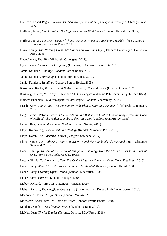- Harrison, Robert Pogue, *Forests: The Shadow of Civilisation* (Chicago: University of Chicago Press, 1992).
- Hoffman, Julian, *Irreplaceable: The Fight to Save our Wild Places* (London: Hamish Hamilton, 2019).
- Hoffman, Julian, *The Small Heart of Things: Being at Home in a Beckoning World* (Athens, Georgia: University of Georgia Press, 2014).
- Howe, Fanny, *The Wedding Dress: Meditations on Word and Life* (Oakland: University of California Press, 2003).
- Hyde, Lewis, *The Gift* (Edinburgh: Canongate, 2012).
- Hyde, Lewis, *A Primer for Forgetting* (Edinburgh: Canongate Books Ltd, 2019).
- Jamie, Kathleen, *Findings* (London: Sort of Books, 2012).
- Jamie, Kathleen, *Surfacing,* (London: Sort of Books, 2019).
- Jamie, Kathleen, *Sightlines* (London: Sort of Books, 2005).
- Kassabova, Kapka, *To the Lake: A Balkan Journey of War and Peace* (London: Granta, 2020).
- Kingsley, Charles, *Prose Idylls: New and Old* (Las Vegas: Wallachia Publishers; first published 1875).
- Kolbert*,* Elizabeth, *Field Notes from a Catastrophe* (London: Bloomsbury, 2015).
- Leach, Amy, *Things that Are: Encounters with Plants, Stars and Animals* (Edinburgh: Canongate, 2012).
- Leigh-Fermor, Patrick, *Between the Woods and the Water: On Foot to Constantinople from the Hook of Holland: The Middle Danube to the Iron Gates* (London: John Murray, 1986).
- Lerner, Ben, *Leaving the Attocha Station* (London: Granta, 2011).
- Lloyd, Karen (ed.), *Curlew Calling Anthology* (Kendal: Numenius Press, 2016).
- Lloyd, Karen, *The Blackbird Diaries* (Glasgow: Saraband, 2017).
- Lloyd, Karen, *The Gathering Tide: A Journey Around the Edgelands of Morecambe Bay* (Glasgow: Saraband, 2015).
- Lopate, Phillip, *The Art of the Personal Essay: An Anthology from the Classical Era to the Present* (New York: First Anchor Books, 1995).
- Lopate, Phillip, *To Show and to Tell: The Craft of Literary Nonfiction* (New York: Free Press, 2013).
- Lopez, Barry, *About This Life: Journeys on the Threshold of Memory* (London: Harvill, 1988).
- Lopez, Barry, *Crossing Open Ground* (London: MacMillan, 1988).
- Lopez, Barry, *Horizon* (London: Vintage, 2020).
- Mabey, Richard, *Nature Cure* (London: Vintage, 2005).
- Mabey, Richard, *The Unofficial Countryside* (Toller Fratrum, Dorset: Little Toller Books, 2010).
- Macdonald, Helen, *H is for Hawk* (London: Vintage, 2015).
- Magnason, Andri Snær, *On Time and Water* (London: Profile Books, 2020).
- Maitland, Sarah, *Gossip from the Forest* (London: Granta 2012).
- McNeil, Jean, *The Ice Diaries* (Toronto, Ontario: ECW Press, 2016).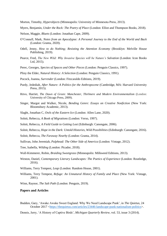Morton, Timothy, *Hyperobjects* (Minneapolis: University of Minnesota Press, 2013).

Myers, Benjamin, *Under the Rock: The Poetry of Place* (London: Elliot and Thompson Books, 2018).

- Nelson, Maggie, *Bluets* (London: Jonathan Cape, 2009).
- O'Connell, Mark, *Notes from an Apocalypse: A Personal Journey to the End of the World and Back* (London: Granta, 2020).
- Odell, Jenny, *How to do Nothing; Resisting the Attention Economy* (Brooklyn: Melville House Publishing, 2019).
- Pearce, Fred, *The New Wild: Why Invasive Species will be Nature's Salvation* (London: Icon Books Ltd, 2015).
- Perec, Georges, *Species of Spaces and Other Pieces* (London: Penguin Classics, 1997).

Pliny the Elder, *Natural History: A Selection* (London: Penguin Classics, 1991).

- Pocock, Joanna, *Surrender* (London: Fitzcaraldo Editions, 2019).
- Purdy, Jedediah, *After Nature: A Politics for the Anthropocene* (Cambridge, MA: Harvard University Press, 2015).
- Ritvo, Harriet, *The Dawn of Green: Manchester, Thirlmere and Modern Environmentalism* (London: University of Chicago Press, 2009).
- Singer, Margot and Walker, Nicole, *Bending Genre: Essays on Creative Nonfiction* (New York: Bloomsbury Academic, 2013).
- Slaght, Jonathan C, *Owls of the Eastern Ice* (London: Allen Lane, 2020).
- Solnit, Rebecca, *A Book of Migrations* (London: Verso, 1997).
- Solnit, Rebecca, *A Field Guide to Getting Lost* (Edinburgh: Canongate, 2006).
- Solnit, Rebecca, *Hope in the Dark: Untold Histories, Wild Possibilities* (Edinburgh: Canongate, 2016).
- Solnit, Rebecca, *The Faraway Nearby* (London: Granta, 2014).
- Sullivan, John Jeremiah, *Pulphead: The Other Side of America* (London: Vintage, 2012).

Tree, Isabella, *Wilding* (London: Picador, 2018).

- Wall-Kimmerer, Robin, *Braiding Sweetgrass* (Minneapolis: Milkweed Editions, 2013).
- Weston, Daniel, *Contemporary Literary Landscapes: The Poetics of Experience* (London: Routledge, 2016).
- Williams, Terry Tempest, *Leap* (London: Random House, 2001).
- Williams, Terry Tempest, *Refuge: An Unnatural History of Family and Place* (New York: Vintage, 2001).

Winn, Raynor, *The Salt Path* (London: Penguin, 2019).

#### **Papers and Articles**

- Budden, Gary, 'Awake Awake Sweet England: Why We Need Landscape Punk', in *The Quietus,* 24 October 2017 [<https://thequietus.com/articles/23446-landscape-punk-nationalism-politics>](https://thequietus.com/articles/23446-landscape-punk-nationalism-politics).
- Dennis, Jerry, 'A History of Captive Birds', *Michigan Quarterly Review*, vol. 53, issue 3 (2014).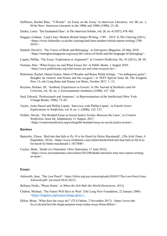- DuPlessis, Rachel Blau, '"f-Words": An Essay on the Essay' in *American Literature*, vol. 68, no. 1, Write Now: American Literature in the 1980s and 1990s (1996), 15–45.
- Eiseley, Loren. 'The Enchanted Glass', in *The American Scholar*, vol. 26, no. 4 (1957), 478–492.
- Huggan, Graham, 'Land Lines: Modern British Nature Writing, 1789 2014' in *The Clearing* (2011) <https://www.littletoller.co.uk/the-clearing/land-lines-modern-british-nature-writing-1789-  $2014/$
- Haskell, David G, 'The Voices of Birds and Belonging', in *Emergence Magazine*, 26 May 2019. <https://emergencemagazine.org/essay/the-voices-of-birds-and-the-language-of-belonging/>.
- Lopate, Phillip, 'The Essay: Exploration or Argument?' in *Creative Nonfiction*, No. 41 (2011), 58–59.
- Norman, Max, 'What Essays are and What Essays Do' in *Public Books*, 1 August 2019, <https://www.publicbooks.org/what-essays-are-and-what-essayists-do/>.
- Robertson, Rachel, Daniel Juckes, Marie O'Rourke and Renee Pettitt-Schipp, '"An ambiguous genre": thoughts on creative non-fiction and the exegesis', in *TEXT* Special Issue 44, The Exegesis Now 13, eds Craig Batty and Donna Lee Brien, October 2017, 1–13.
- Royston, Holmes, III, 'Aesthetic Experiences in Forests' in *The Journal of Aesthetics and Art Criticism*, vol. 56, no. 2, Environmental Aesthetics (1998), 157–166.
- Said, Edward, 'Professionals and Amateurs', in *Representations of the Intellectual* (New York: Vintage Books, 1996), 73–83.
- Taylor, Anita Darcel and Phillip Lopate, 'Interview with Phillip Lopate', in *Fourth Genre: Explorations in Nonfiction*, vol. 8, no. 1, (2006), 125–137.
- Walker, [Nicole,](https://www.creativenonfiction.org/authors/nicole-walker) 'The Braided Essay as Social Justice Action; Between the Lines', in *Creative Nonfiction*, Issue 64; Adaptation), 11 August, 2017, <https://creativenonfiction.org/writing/the-braided-essay-as-social-justice-action/>.

#### **Reviews**

- Battersby, Eileen, 'Bird tale that fails to fly: H is for Hawk by Helen Macdonald', (*The Irish Times*, 6 September, 2014). <https://www.irishtimes.com/culture/books/bird-tale-that-fails-to-fly-h-isfor-hawk-by-helen-macdonald-1.1917840>.
- Cocker, Mark, 'Death of a Naturalist' (*New Statesman*, 17 June 2015). <https://www.newstatesman.com/culture/2015/06/death-naturalist-why-new-nature-writingso-tame>.

#### **Essays**

- Ashworth, Jenn, 'The Lost Pencil' <https://litfest.org/wp-content/uploads/2020/07/The-Lost-Pencil-Jenn-Ashworth.pdf> [accessed 28.02.2021].
- Bellamy Dodie, 'Phone Home', in *When the Sick Rule the World* (Semiotexte, 2015).
- Chabon, Michael, 'The Future Will Have to Wait' (The Long Now Foundation, 22 January 2006) [<https://longnow.org/essays/omega-glory/>](https://longnow.org/essays/omega-glory/).
- Dillon, Brian, 'What does the essay do?' (TLS Online, 2 November 2017). <https://www.thetls.co.uk/articles/role-shape-purpose-essay-today-essay-brian-dillon/>.